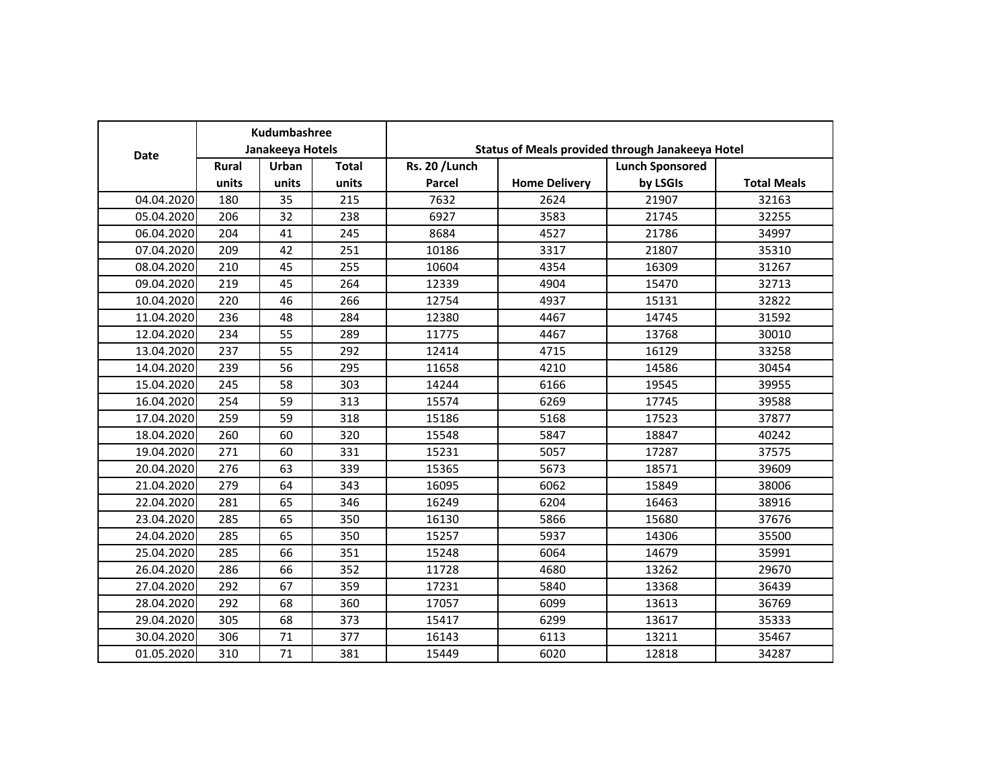| <b>Date</b> | Kudumbashree<br>Janakeeya Hotels |       |              |                |                      | Status of Meals provided through Janakeeya Hotel |                    |  |
|-------------|----------------------------------|-------|--------------|----------------|----------------------|--------------------------------------------------|--------------------|--|
|             | <b>Rural</b>                     | Urban | <b>Total</b> | Rs. 20 / Lunch |                      | <b>Lunch Sponsored</b>                           |                    |  |
|             | units                            | units | units        | Parcel         | <b>Home Delivery</b> | by LSGIs                                         | <b>Total Meals</b> |  |
| 04.04.2020  | 180                              | 35    | 215          | 7632           | 2624                 | 21907                                            | 32163              |  |
| 05.04.2020  | 206                              | 32    | 238          | 6927           | 3583                 | 21745                                            | 32255              |  |
| 06.04.2020  | 204                              | 41    | 245          | 8684           | 4527                 | 21786                                            | 34997              |  |
| 07.04.2020  | 209                              | 42    | 251          | 10186          | 3317                 | 21807                                            | 35310              |  |
| 08.04.2020  | 210                              | 45    | 255          | 10604          | 4354                 | 16309                                            | 31267              |  |
| 09.04.2020  | 219                              | 45    | 264          | 12339          | 4904                 | 15470                                            | 32713              |  |
| 10.04.2020  | 220                              | 46    | 266          | 12754          | 4937                 | 15131                                            | 32822              |  |
| 11.04.2020  | 236                              | 48    | 284          | 12380          | 4467                 | 14745                                            | 31592              |  |
| 12.04.2020  | 234                              | 55    | 289          | 11775          | 4467                 | 13768                                            | 30010              |  |
| 13.04.2020  | 237                              | 55    | 292          | 12414          | 4715                 | 16129                                            | 33258              |  |
| 14.04.2020  | 239                              | 56    | 295          | 11658          | 4210                 | 14586                                            | 30454              |  |
| 15.04.2020  | 245                              | 58    | 303          | 14244          | 6166                 | 19545                                            | 39955              |  |
| 16.04.2020  | 254                              | 59    | 313          | 15574          | 6269                 | 17745                                            | 39588              |  |
| 17.04.2020  | 259                              | 59    | 318          | 15186          | 5168                 | 17523                                            | 37877              |  |
| 18.04.2020  | 260                              | 60    | 320          | 15548          | 5847                 | 18847                                            | 40242              |  |
| 19.04.2020  | 271                              | 60    | 331          | 15231          | 5057                 | 17287                                            | 37575              |  |
| 20.04.2020  | 276                              | 63    | 339          | 15365          | 5673                 | 18571                                            | 39609              |  |
| 21.04.2020  | 279                              | 64    | 343          | 16095          | 6062                 | 15849                                            | 38006              |  |
| 22.04.2020  | 281                              | 65    | 346          | 16249          | 6204                 | 16463                                            | 38916              |  |
| 23.04.2020  | 285                              | 65    | 350          | 16130          | 5866                 | 15680                                            | 37676              |  |
| 24.04.2020  | 285                              | 65    | 350          | 15257          | 5937                 | 14306                                            | 35500              |  |
| 25.04.2020  | 285                              | 66    | 351          | 15248          | 6064                 | 14679                                            | 35991              |  |
| 26.04.2020  | 286                              | 66    | 352          | 11728          | 4680                 | 13262                                            | 29670              |  |
| 27.04.2020  | 292                              | 67    | 359          | 17231          | 5840                 | 13368                                            | 36439              |  |
| 28.04.2020  | 292                              | 68    | 360          | 17057          | 6099                 | 13613                                            | 36769              |  |
| 29.04.2020  | 305                              | 68    | 373          | 15417          | 6299                 | 13617                                            | 35333              |  |
| 30.04.2020  | 306                              | 71    | 377          | 16143          | 6113                 | 13211                                            | 35467              |  |
| 01.05.2020  | 310                              | 71    | 381          | 15449          | 6020                 | 12818                                            | 34287              |  |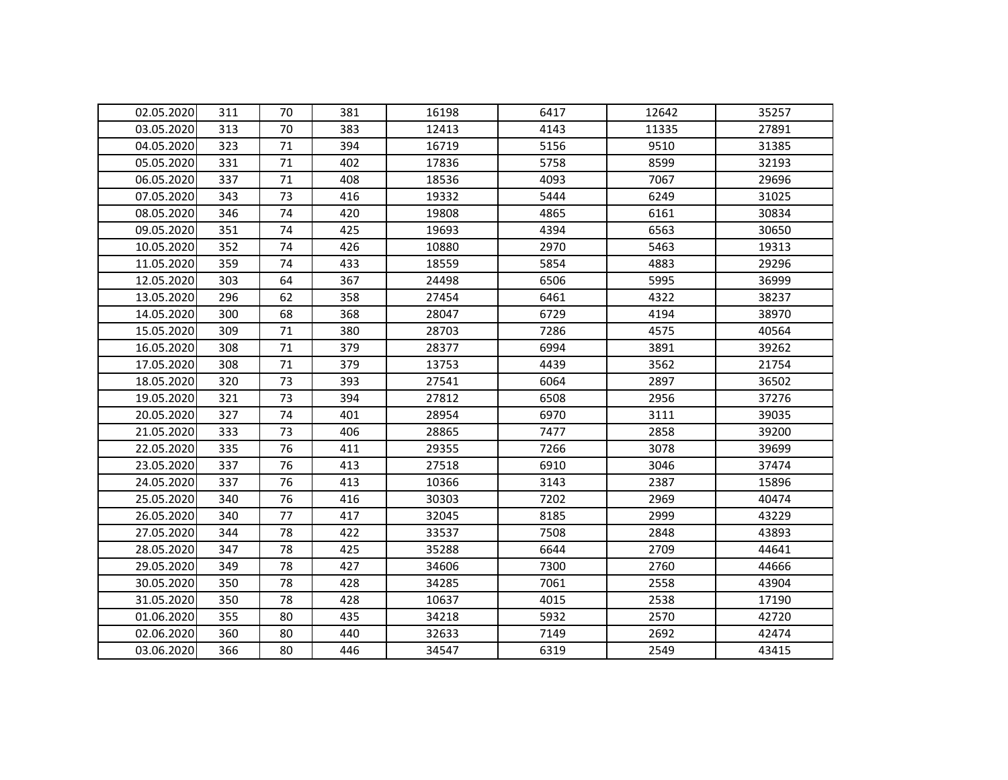| 02.05.2020 | 311 | 70 | 381 | 16198 | 6417 | 12642 | 35257 |
|------------|-----|----|-----|-------|------|-------|-------|
| 03.05.2020 | 313 | 70 | 383 | 12413 | 4143 | 11335 | 27891 |
| 04.05.2020 | 323 | 71 | 394 | 16719 | 5156 | 9510  | 31385 |
| 05.05.2020 | 331 | 71 | 402 | 17836 | 5758 | 8599  | 32193 |
| 06.05.2020 | 337 | 71 | 408 | 18536 | 4093 | 7067  | 29696 |
| 07.05.2020 | 343 | 73 | 416 | 19332 | 5444 | 6249  | 31025 |
| 08.05.2020 | 346 | 74 | 420 | 19808 | 4865 | 6161  | 30834 |
| 09.05.2020 | 351 | 74 | 425 | 19693 | 4394 | 6563  | 30650 |
| 10.05.2020 | 352 | 74 | 426 | 10880 | 2970 | 5463  | 19313 |
| 11.05.2020 | 359 | 74 | 433 | 18559 | 5854 | 4883  | 29296 |
| 12.05.2020 | 303 | 64 | 367 | 24498 | 6506 | 5995  | 36999 |
| 13.05.2020 | 296 | 62 | 358 | 27454 | 6461 | 4322  | 38237 |
| 14.05.2020 | 300 | 68 | 368 | 28047 | 6729 | 4194  | 38970 |
| 15.05.2020 | 309 | 71 | 380 | 28703 | 7286 | 4575  | 40564 |
| 16.05.2020 | 308 | 71 | 379 | 28377 | 6994 | 3891  | 39262 |
| 17.05.2020 | 308 | 71 | 379 | 13753 | 4439 | 3562  | 21754 |
| 18.05.2020 | 320 | 73 | 393 | 27541 | 6064 | 2897  | 36502 |
| 19.05.2020 | 321 | 73 | 394 | 27812 | 6508 | 2956  | 37276 |
| 20.05.2020 | 327 | 74 | 401 | 28954 | 6970 | 3111  | 39035 |
| 21.05.2020 | 333 | 73 | 406 | 28865 | 7477 | 2858  | 39200 |
| 22.05.2020 | 335 | 76 | 411 | 29355 | 7266 | 3078  | 39699 |
| 23.05.2020 | 337 | 76 | 413 | 27518 | 6910 | 3046  | 37474 |
| 24.05.2020 | 337 | 76 | 413 | 10366 | 3143 | 2387  | 15896 |
| 25.05.2020 | 340 | 76 | 416 | 30303 | 7202 | 2969  | 40474 |
| 26.05.2020 | 340 | 77 | 417 | 32045 | 8185 | 2999  | 43229 |
| 27.05.2020 | 344 | 78 | 422 | 33537 | 7508 | 2848  | 43893 |
| 28.05.2020 | 347 | 78 | 425 | 35288 | 6644 | 2709  | 44641 |
| 29.05.2020 | 349 | 78 | 427 | 34606 | 7300 | 2760  | 44666 |
| 30.05.2020 | 350 | 78 | 428 | 34285 | 7061 | 2558  | 43904 |
| 31.05.2020 | 350 | 78 | 428 | 10637 | 4015 | 2538  | 17190 |
| 01.06.2020 | 355 | 80 | 435 | 34218 | 5932 | 2570  | 42720 |
| 02.06.2020 | 360 | 80 | 440 | 32633 | 7149 | 2692  | 42474 |
| 03.06.2020 | 366 | 80 | 446 | 34547 | 6319 | 2549  | 43415 |
|            |     |    |     |       |      |       |       |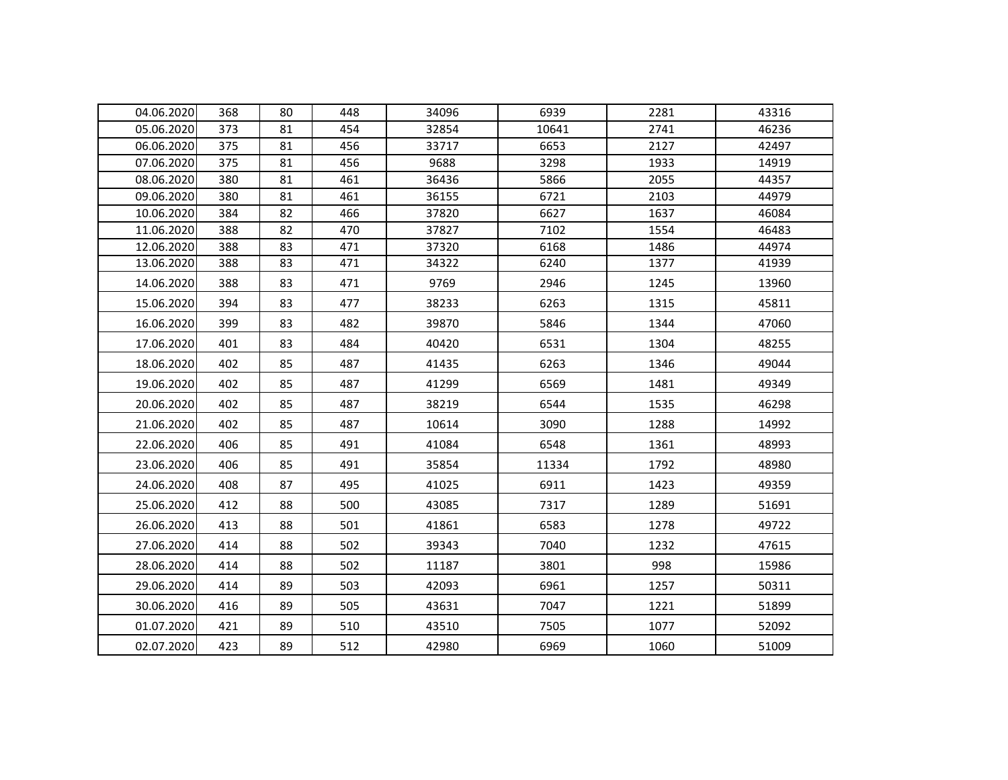| 04.06.2020 | 368 | 80 | 448 | 34096 | 6939  | 2281 | 43316 |
|------------|-----|----|-----|-------|-------|------|-------|
| 05.06.2020 | 373 | 81 | 454 | 32854 | 10641 | 2741 | 46236 |
| 06.06.2020 | 375 | 81 | 456 | 33717 | 6653  | 2127 | 42497 |
| 07.06.2020 | 375 | 81 | 456 | 9688  | 3298  | 1933 | 14919 |
| 08.06.2020 | 380 | 81 | 461 | 36436 | 5866  | 2055 | 44357 |
| 09.06.2020 | 380 | 81 | 461 | 36155 | 6721  | 2103 | 44979 |
| 10.06.2020 | 384 | 82 | 466 | 37820 | 6627  | 1637 | 46084 |
| 11.06.2020 | 388 | 82 | 470 | 37827 | 7102  | 1554 | 46483 |
| 12.06.2020 | 388 | 83 | 471 | 37320 | 6168  | 1486 | 44974 |
| 13.06.2020 | 388 | 83 | 471 | 34322 | 6240  | 1377 | 41939 |
| 14.06.2020 | 388 | 83 | 471 | 9769  | 2946  | 1245 | 13960 |
| 15.06.2020 | 394 | 83 | 477 | 38233 | 6263  | 1315 | 45811 |
| 16.06.2020 | 399 | 83 | 482 | 39870 | 5846  | 1344 | 47060 |
| 17.06.2020 | 401 | 83 | 484 | 40420 | 6531  | 1304 | 48255 |
| 18.06.2020 | 402 | 85 | 487 | 41435 | 6263  | 1346 | 49044 |
| 19.06.2020 | 402 | 85 | 487 | 41299 | 6569  | 1481 | 49349 |
| 20.06.2020 | 402 | 85 | 487 | 38219 | 6544  | 1535 | 46298 |
| 21.06.2020 | 402 | 85 | 487 | 10614 | 3090  | 1288 | 14992 |
| 22.06.2020 | 406 | 85 | 491 | 41084 | 6548  | 1361 | 48993 |
| 23.06.2020 | 406 | 85 | 491 | 35854 | 11334 | 1792 | 48980 |
| 24.06.2020 | 408 | 87 | 495 | 41025 | 6911  | 1423 | 49359 |
| 25.06.2020 | 412 | 88 | 500 | 43085 | 7317  | 1289 | 51691 |
| 26.06.2020 | 413 | 88 | 501 | 41861 | 6583  | 1278 | 49722 |
| 27.06.2020 | 414 | 88 | 502 | 39343 | 7040  | 1232 | 47615 |
| 28.06.2020 | 414 | 88 | 502 | 11187 | 3801  | 998  | 15986 |
| 29.06.2020 | 414 | 89 | 503 | 42093 | 6961  | 1257 | 50311 |
| 30.06.2020 | 416 | 89 | 505 | 43631 | 7047  | 1221 | 51899 |
| 01.07.2020 | 421 | 89 | 510 | 43510 | 7505  | 1077 | 52092 |
| 02.07.2020 | 423 | 89 | 512 | 42980 | 6969  | 1060 | 51009 |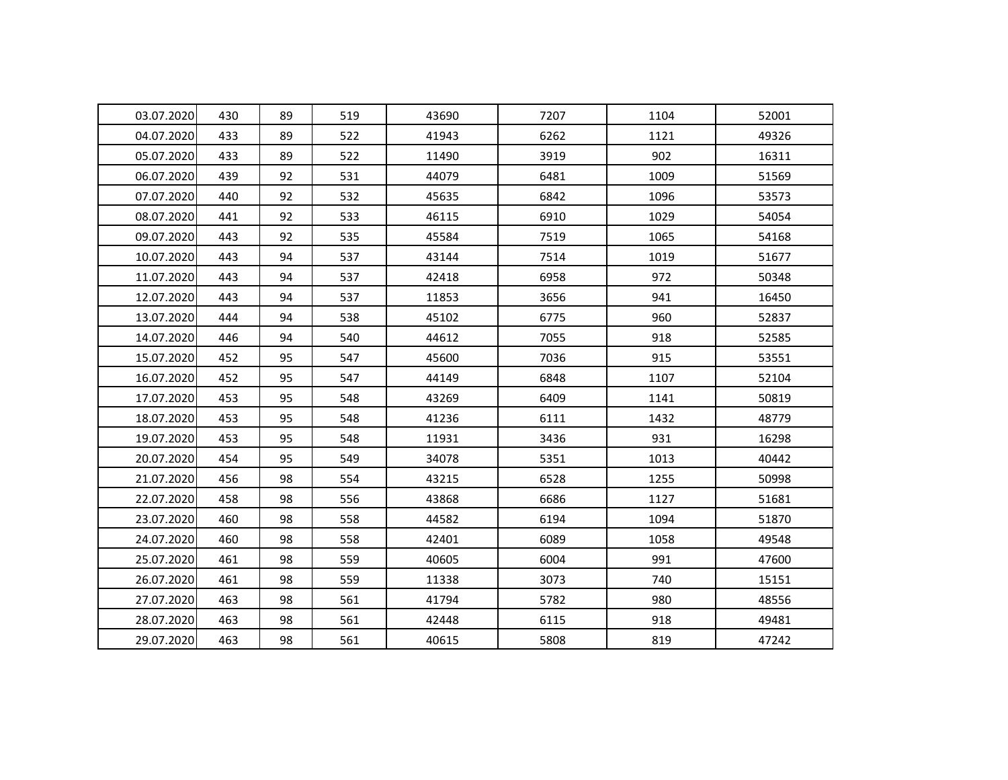| 03.07.2020 | 430 | 89 | 519 | 43690 | 7207 | 1104 | 52001 |
|------------|-----|----|-----|-------|------|------|-------|
| 04.07.2020 | 433 | 89 | 522 | 41943 | 6262 | 1121 | 49326 |
| 05.07.2020 | 433 | 89 | 522 | 11490 | 3919 | 902  | 16311 |
| 06.07.2020 | 439 | 92 | 531 | 44079 | 6481 | 1009 | 51569 |
| 07.07.2020 | 440 | 92 | 532 | 45635 | 6842 | 1096 | 53573 |
| 08.07.2020 | 441 | 92 | 533 | 46115 | 6910 | 1029 | 54054 |
| 09.07.2020 | 443 | 92 | 535 | 45584 | 7519 | 1065 | 54168 |
| 10.07.2020 | 443 | 94 | 537 | 43144 | 7514 | 1019 | 51677 |
| 11.07.2020 | 443 | 94 | 537 | 42418 | 6958 | 972  | 50348 |
| 12.07.2020 | 443 | 94 | 537 | 11853 | 3656 | 941  | 16450 |
| 13.07.2020 | 444 | 94 | 538 | 45102 | 6775 | 960  | 52837 |
| 14.07.2020 | 446 | 94 | 540 | 44612 | 7055 | 918  | 52585 |
| 15.07.2020 | 452 | 95 | 547 | 45600 | 7036 | 915  | 53551 |
| 16.07.2020 | 452 | 95 | 547 | 44149 | 6848 | 1107 | 52104 |
| 17.07.2020 | 453 | 95 | 548 | 43269 | 6409 | 1141 | 50819 |
| 18.07.2020 | 453 | 95 | 548 | 41236 | 6111 | 1432 | 48779 |
| 19.07.2020 | 453 | 95 | 548 | 11931 | 3436 | 931  | 16298 |
| 20.07.2020 | 454 | 95 | 549 | 34078 | 5351 | 1013 | 40442 |
| 21.07.2020 | 456 | 98 | 554 | 43215 | 6528 | 1255 | 50998 |
| 22.07.2020 | 458 | 98 | 556 | 43868 | 6686 | 1127 | 51681 |
| 23.07.2020 | 460 | 98 | 558 | 44582 | 6194 | 1094 | 51870 |
| 24.07.2020 | 460 | 98 | 558 | 42401 | 6089 | 1058 | 49548 |
| 25.07.2020 | 461 | 98 | 559 | 40605 | 6004 | 991  | 47600 |
| 26.07.2020 | 461 | 98 | 559 | 11338 | 3073 | 740  | 15151 |
| 27.07.2020 | 463 | 98 | 561 | 41794 | 5782 | 980  | 48556 |
| 28.07.2020 | 463 | 98 | 561 | 42448 | 6115 | 918  | 49481 |
| 29.07.2020 | 463 | 98 | 561 | 40615 | 5808 | 819  | 47242 |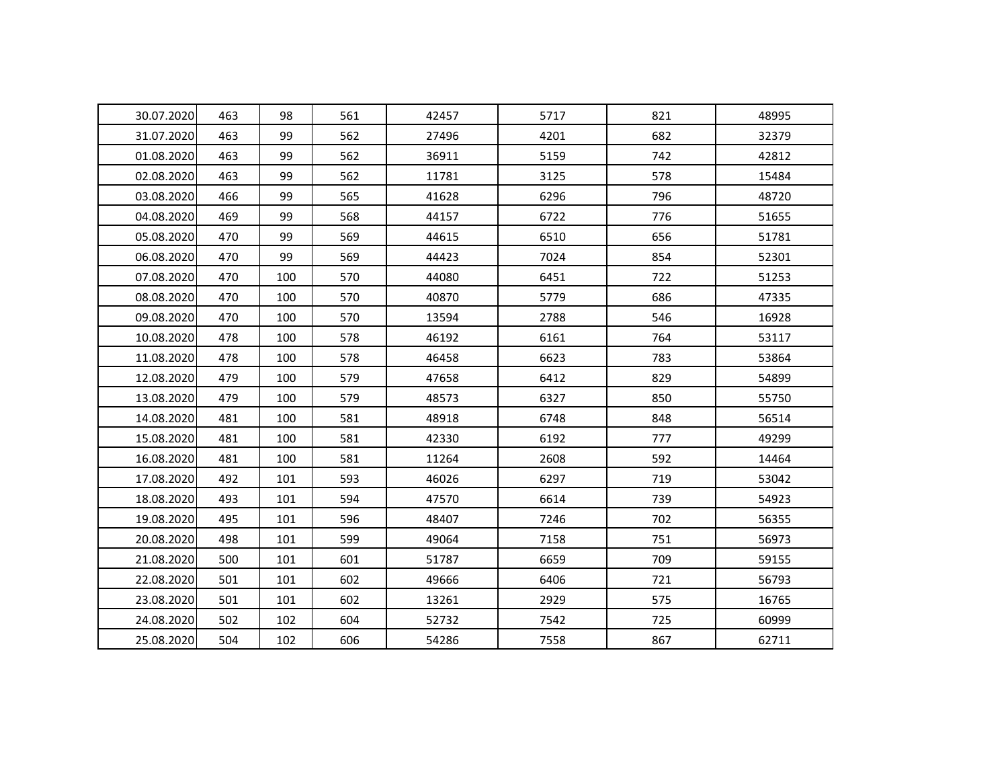| 30.07.2020 | 463 | 98  | 561 | 42457 | 5717 | 821 | 48995 |
|------------|-----|-----|-----|-------|------|-----|-------|
| 31.07.2020 | 463 | 99  | 562 | 27496 | 4201 | 682 | 32379 |
| 01.08.2020 | 463 | 99  | 562 | 36911 | 5159 | 742 | 42812 |
| 02.08.2020 | 463 | 99  | 562 | 11781 | 3125 | 578 | 15484 |
| 03.08.2020 | 466 | 99  | 565 | 41628 | 6296 | 796 | 48720 |
| 04.08.2020 | 469 | 99  | 568 | 44157 | 6722 | 776 | 51655 |
| 05.08.2020 | 470 | 99  | 569 | 44615 | 6510 | 656 | 51781 |
| 06.08.2020 | 470 | 99  | 569 | 44423 | 7024 | 854 | 52301 |
| 07.08.2020 | 470 | 100 | 570 | 44080 | 6451 | 722 | 51253 |
| 08.08.2020 | 470 | 100 | 570 | 40870 | 5779 | 686 | 47335 |
| 09.08.2020 | 470 | 100 | 570 | 13594 | 2788 | 546 | 16928 |
| 10.08.2020 | 478 | 100 | 578 | 46192 | 6161 | 764 | 53117 |
| 11.08.2020 | 478 | 100 | 578 | 46458 | 6623 | 783 | 53864 |
| 12.08.2020 | 479 | 100 | 579 | 47658 | 6412 | 829 | 54899 |
| 13.08.2020 | 479 | 100 | 579 | 48573 | 6327 | 850 | 55750 |
| 14.08.2020 | 481 | 100 | 581 | 48918 | 6748 | 848 | 56514 |
| 15.08.2020 | 481 | 100 | 581 | 42330 | 6192 | 777 | 49299 |
| 16.08.2020 | 481 | 100 | 581 | 11264 | 2608 | 592 | 14464 |
| 17.08.2020 | 492 | 101 | 593 | 46026 | 6297 | 719 | 53042 |
| 18.08.2020 | 493 | 101 | 594 | 47570 | 6614 | 739 | 54923 |
| 19.08.2020 | 495 | 101 | 596 | 48407 | 7246 | 702 | 56355 |
| 20.08.2020 | 498 | 101 | 599 | 49064 | 7158 | 751 | 56973 |
| 21.08.2020 | 500 | 101 | 601 | 51787 | 6659 | 709 | 59155 |
| 22.08.2020 | 501 | 101 | 602 | 49666 | 6406 | 721 | 56793 |
| 23.08.2020 | 501 | 101 | 602 | 13261 | 2929 | 575 | 16765 |
| 24.08.2020 | 502 | 102 | 604 | 52732 | 7542 | 725 | 60999 |
| 25.08.2020 | 504 | 102 | 606 | 54286 | 7558 | 867 | 62711 |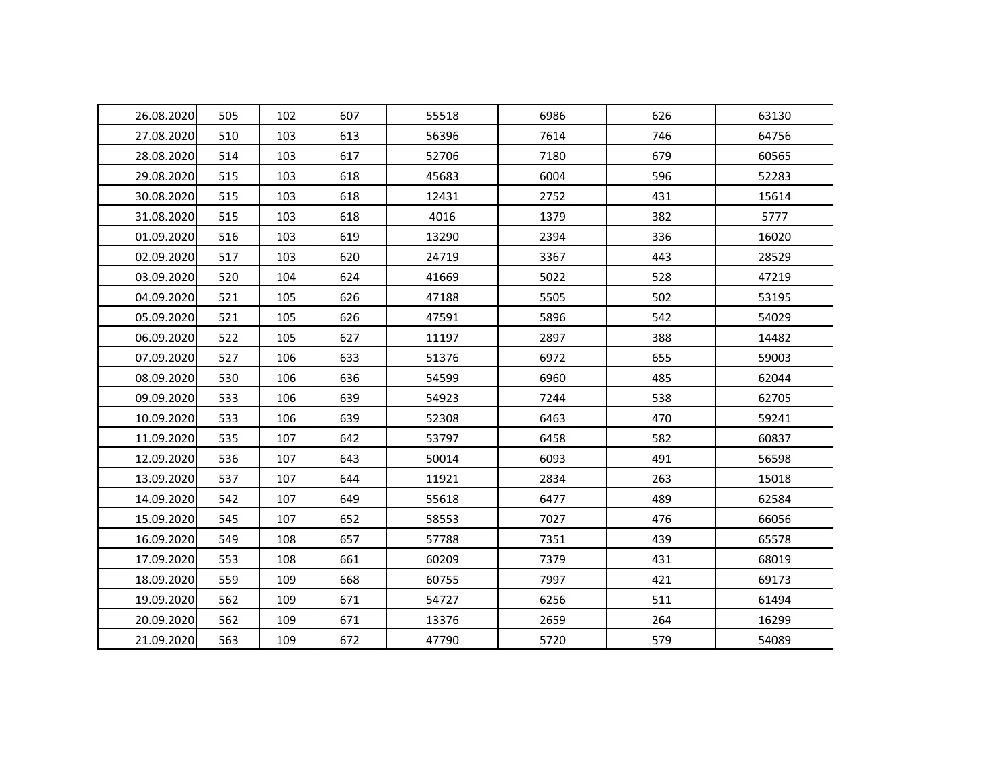| 26.08.2020 | 505 | 102 | 607 | 55518 | 6986 | 626 | 63130 |
|------------|-----|-----|-----|-------|------|-----|-------|
| 27.08.2020 | 510 | 103 | 613 | 56396 | 7614 | 746 | 64756 |
| 28.08.2020 | 514 | 103 | 617 | 52706 | 7180 | 679 | 60565 |
| 29.08.2020 | 515 | 103 | 618 | 45683 | 6004 | 596 | 52283 |
| 30.08.2020 | 515 | 103 | 618 | 12431 | 2752 | 431 | 15614 |
| 31.08.2020 | 515 | 103 | 618 | 4016  | 1379 | 382 | 5777  |
| 01.09.2020 | 516 | 103 | 619 | 13290 | 2394 | 336 | 16020 |
| 02.09.2020 | 517 | 103 | 620 | 24719 | 3367 | 443 | 28529 |
| 03.09.2020 | 520 | 104 | 624 | 41669 | 5022 | 528 | 47219 |
| 04.09.2020 | 521 | 105 | 626 | 47188 | 5505 | 502 | 53195 |
| 05.09.2020 | 521 | 105 | 626 | 47591 | 5896 | 542 | 54029 |
| 06.09.2020 | 522 | 105 | 627 | 11197 | 2897 | 388 | 14482 |
| 07.09.2020 | 527 | 106 | 633 | 51376 | 6972 | 655 | 59003 |
| 08.09.2020 | 530 | 106 | 636 | 54599 | 6960 | 485 | 62044 |
| 09.09.2020 | 533 | 106 | 639 | 54923 | 7244 | 538 | 62705 |
| 10.09.2020 | 533 | 106 | 639 | 52308 | 6463 | 470 | 59241 |
| 11.09.2020 | 535 | 107 | 642 | 53797 | 6458 | 582 | 60837 |
| 12.09.2020 | 536 | 107 | 643 | 50014 | 6093 | 491 | 56598 |
| 13.09.2020 | 537 | 107 | 644 | 11921 | 2834 | 263 | 15018 |
| 14.09.2020 | 542 | 107 | 649 | 55618 | 6477 | 489 | 62584 |
| 15.09.2020 | 545 | 107 | 652 | 58553 | 7027 | 476 | 66056 |
| 16.09.2020 | 549 | 108 | 657 | 57788 | 7351 | 439 | 65578 |
| 17.09.2020 | 553 | 108 | 661 | 60209 | 7379 | 431 | 68019 |
| 18.09.2020 | 559 | 109 | 668 | 60755 | 7997 | 421 | 69173 |
| 19.09.2020 | 562 | 109 | 671 | 54727 | 6256 | 511 | 61494 |
| 20.09.2020 | 562 | 109 | 671 | 13376 | 2659 | 264 | 16299 |
| 21.09.2020 | 563 | 109 | 672 | 47790 | 5720 | 579 | 54089 |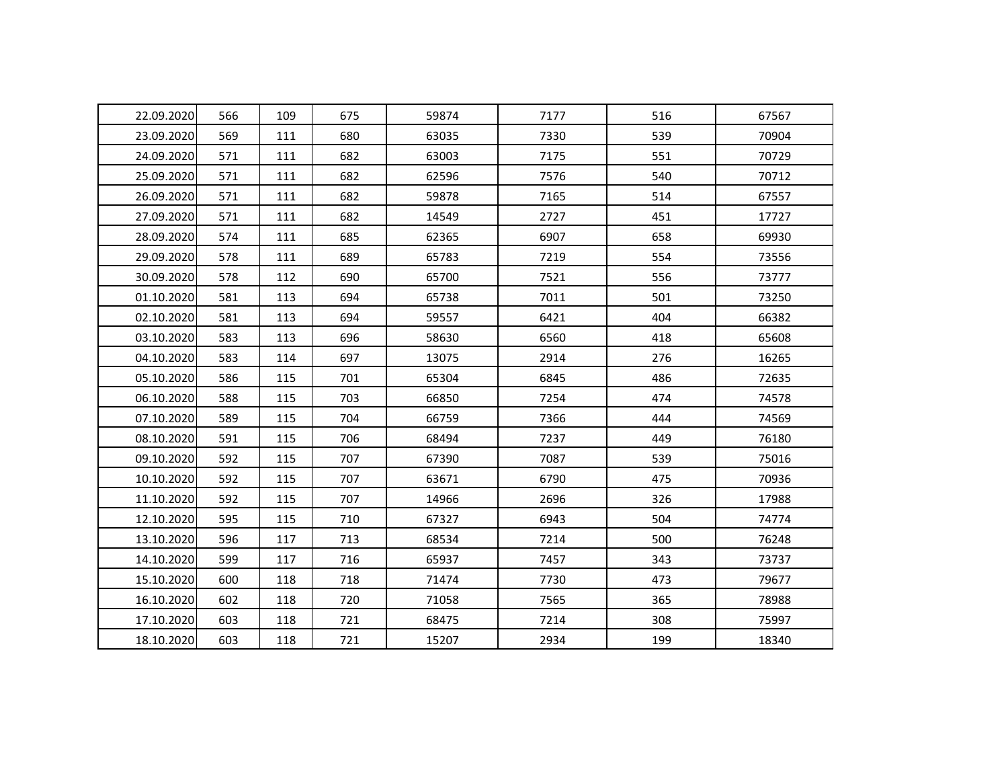| 22.09.2020 | 566 | 109 | 675 | 59874 | 7177 | 516 | 67567 |
|------------|-----|-----|-----|-------|------|-----|-------|
| 23.09.2020 | 569 | 111 | 680 | 63035 | 7330 | 539 | 70904 |
| 24.09.2020 | 571 | 111 | 682 | 63003 | 7175 | 551 | 70729 |
| 25.09.2020 | 571 | 111 | 682 | 62596 | 7576 | 540 | 70712 |
| 26.09.2020 | 571 | 111 | 682 | 59878 | 7165 | 514 | 67557 |
| 27.09.2020 | 571 | 111 | 682 | 14549 | 2727 | 451 | 17727 |
| 28.09.2020 | 574 | 111 | 685 | 62365 | 6907 | 658 | 69930 |
| 29.09.2020 | 578 | 111 | 689 | 65783 | 7219 | 554 | 73556 |
| 30.09.2020 | 578 | 112 | 690 | 65700 | 7521 | 556 | 73777 |
| 01.10.2020 | 581 | 113 | 694 | 65738 | 7011 | 501 | 73250 |
| 02.10.2020 | 581 | 113 | 694 | 59557 | 6421 | 404 | 66382 |
| 03.10.2020 | 583 | 113 | 696 | 58630 | 6560 | 418 | 65608 |
| 04.10.2020 | 583 | 114 | 697 | 13075 | 2914 | 276 | 16265 |
| 05.10.2020 | 586 | 115 | 701 | 65304 | 6845 | 486 | 72635 |
| 06.10.2020 | 588 | 115 | 703 | 66850 | 7254 | 474 | 74578 |
| 07.10.2020 | 589 | 115 | 704 | 66759 | 7366 | 444 | 74569 |
| 08.10.2020 | 591 | 115 | 706 | 68494 | 7237 | 449 | 76180 |
| 09.10.2020 | 592 | 115 | 707 | 67390 | 7087 | 539 | 75016 |
| 10.10.2020 | 592 | 115 | 707 | 63671 | 6790 | 475 | 70936 |
| 11.10.2020 | 592 | 115 | 707 | 14966 | 2696 | 326 | 17988 |
| 12.10.2020 | 595 | 115 | 710 | 67327 | 6943 | 504 | 74774 |
| 13.10.2020 | 596 | 117 | 713 | 68534 | 7214 | 500 | 76248 |
| 14.10.2020 | 599 | 117 | 716 | 65937 | 7457 | 343 | 73737 |
| 15.10.2020 | 600 | 118 | 718 | 71474 | 7730 | 473 | 79677 |
| 16.10.2020 | 602 | 118 | 720 | 71058 | 7565 | 365 | 78988 |
| 17.10.2020 | 603 | 118 | 721 | 68475 | 7214 | 308 | 75997 |
| 18.10.2020 | 603 | 118 | 721 | 15207 | 2934 | 199 | 18340 |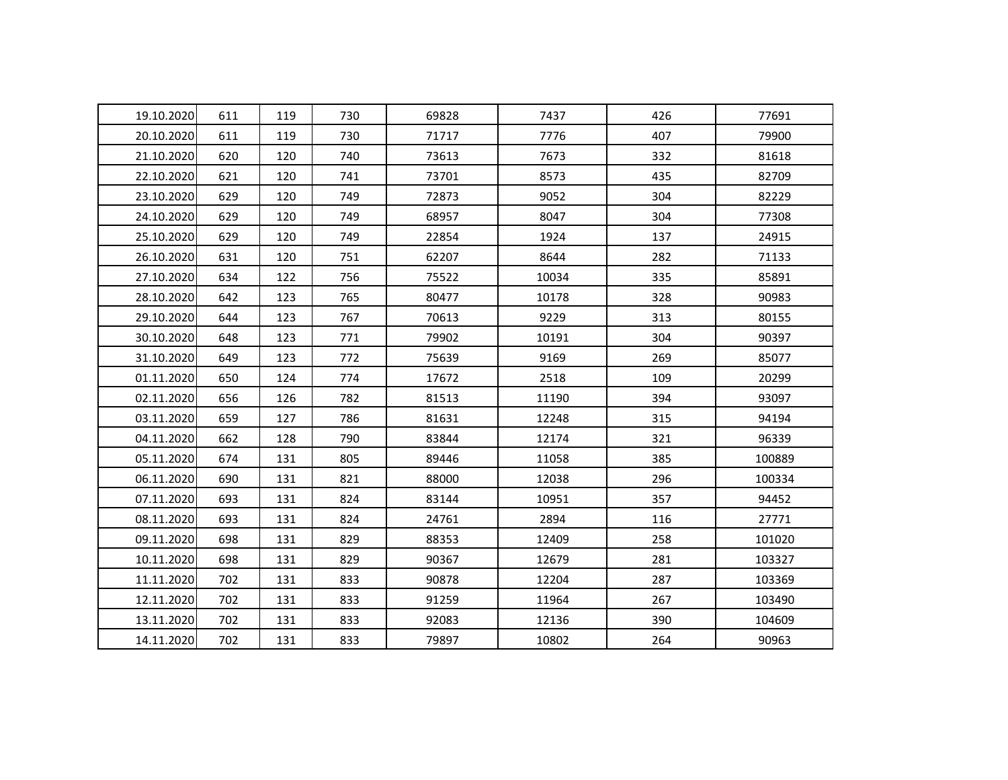| 19.10.2020 | 611 | 119 | 730 | 69828 | 7437  | 426 | 77691  |
|------------|-----|-----|-----|-------|-------|-----|--------|
| 20.10.2020 | 611 | 119 | 730 | 71717 | 7776  | 407 | 79900  |
| 21.10.2020 | 620 | 120 | 740 | 73613 | 7673  | 332 | 81618  |
| 22.10.2020 | 621 | 120 | 741 | 73701 | 8573  | 435 | 82709  |
| 23.10.2020 | 629 | 120 | 749 | 72873 | 9052  | 304 | 82229  |
| 24.10.2020 | 629 | 120 | 749 | 68957 | 8047  | 304 | 77308  |
| 25.10.2020 | 629 | 120 | 749 | 22854 | 1924  | 137 | 24915  |
| 26.10.2020 | 631 | 120 | 751 | 62207 | 8644  | 282 | 71133  |
| 27.10.2020 | 634 | 122 | 756 | 75522 | 10034 | 335 | 85891  |
| 28.10.2020 | 642 | 123 | 765 | 80477 | 10178 | 328 | 90983  |
| 29.10.2020 | 644 | 123 | 767 | 70613 | 9229  | 313 | 80155  |
| 30.10.2020 | 648 | 123 | 771 | 79902 | 10191 | 304 | 90397  |
| 31.10.2020 | 649 | 123 | 772 | 75639 | 9169  | 269 | 85077  |
| 01.11.2020 | 650 | 124 | 774 | 17672 | 2518  | 109 | 20299  |
| 02.11.2020 | 656 | 126 | 782 | 81513 | 11190 | 394 | 93097  |
| 03.11.2020 | 659 | 127 | 786 | 81631 | 12248 | 315 | 94194  |
| 04.11.2020 | 662 | 128 | 790 | 83844 | 12174 | 321 | 96339  |
| 05.11.2020 | 674 | 131 | 805 | 89446 | 11058 | 385 | 100889 |
| 06.11.2020 | 690 | 131 | 821 | 88000 | 12038 | 296 | 100334 |
| 07.11.2020 | 693 | 131 | 824 | 83144 | 10951 | 357 | 94452  |
| 08.11.2020 | 693 | 131 | 824 | 24761 | 2894  | 116 | 27771  |
| 09.11.2020 | 698 | 131 | 829 | 88353 | 12409 | 258 | 101020 |
| 10.11.2020 | 698 | 131 | 829 | 90367 | 12679 | 281 | 103327 |
| 11.11.2020 | 702 | 131 | 833 | 90878 | 12204 | 287 | 103369 |
| 12.11.2020 | 702 | 131 | 833 | 91259 | 11964 | 267 | 103490 |
| 13.11.2020 | 702 | 131 | 833 | 92083 | 12136 | 390 | 104609 |
| 14.11.2020 | 702 | 131 | 833 | 79897 | 10802 | 264 | 90963  |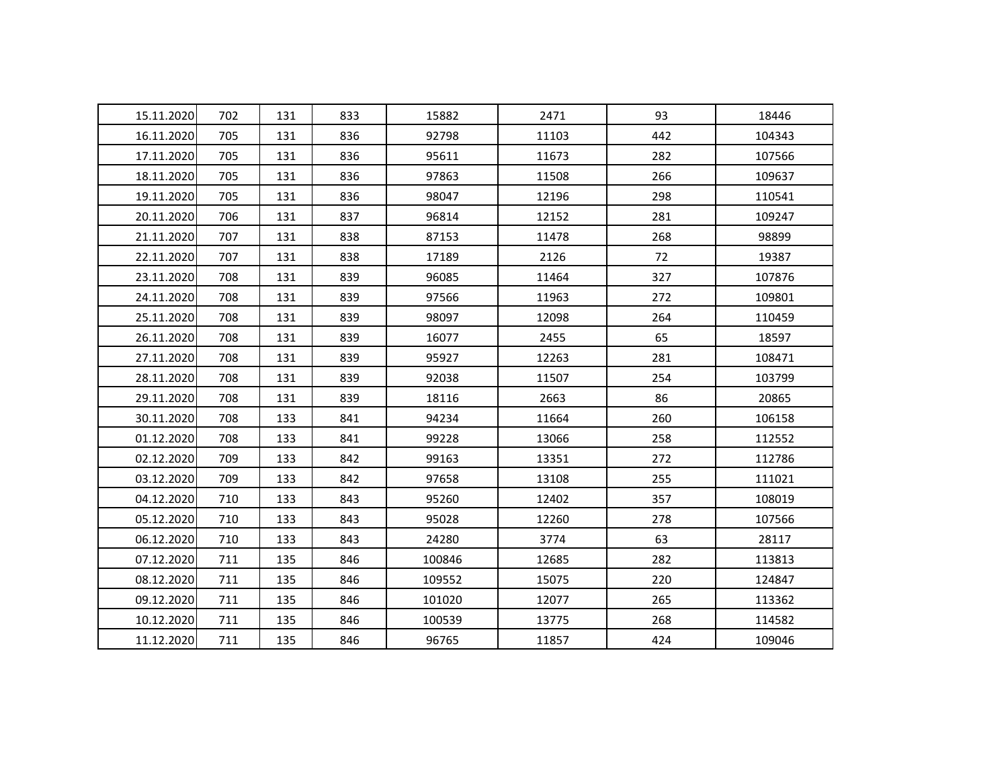| 15.11.2020 | 702 | 131 | 833 | 15882  | 2471  | 93  | 18446  |
|------------|-----|-----|-----|--------|-------|-----|--------|
| 16.11.2020 | 705 | 131 | 836 | 92798  | 11103 | 442 | 104343 |
| 17.11.2020 | 705 | 131 | 836 | 95611  | 11673 | 282 | 107566 |
| 18.11.2020 | 705 | 131 | 836 | 97863  | 11508 | 266 | 109637 |
| 19.11.2020 | 705 | 131 | 836 | 98047  | 12196 | 298 | 110541 |
| 20.11.2020 | 706 | 131 | 837 | 96814  | 12152 | 281 | 109247 |
| 21.11.2020 | 707 | 131 | 838 | 87153  | 11478 | 268 | 98899  |
| 22.11.2020 | 707 | 131 | 838 | 17189  | 2126  | 72  | 19387  |
| 23.11.2020 | 708 | 131 | 839 | 96085  | 11464 | 327 | 107876 |
| 24.11.2020 | 708 | 131 | 839 | 97566  | 11963 | 272 | 109801 |
| 25.11.2020 | 708 | 131 | 839 | 98097  | 12098 | 264 | 110459 |
| 26.11.2020 | 708 | 131 | 839 | 16077  | 2455  | 65  | 18597  |
| 27.11.2020 | 708 | 131 | 839 | 95927  | 12263 | 281 | 108471 |
| 28.11.2020 | 708 | 131 | 839 | 92038  | 11507 | 254 | 103799 |
| 29.11.2020 | 708 | 131 | 839 | 18116  | 2663  | 86  | 20865  |
| 30.11.2020 | 708 | 133 | 841 | 94234  | 11664 | 260 | 106158 |
| 01.12.2020 | 708 | 133 | 841 | 99228  | 13066 | 258 | 112552 |
| 02.12.2020 | 709 | 133 | 842 | 99163  | 13351 | 272 | 112786 |
| 03.12.2020 | 709 | 133 | 842 | 97658  | 13108 | 255 | 111021 |
| 04.12.2020 | 710 | 133 | 843 | 95260  | 12402 | 357 | 108019 |
| 05.12.2020 | 710 | 133 | 843 | 95028  | 12260 | 278 | 107566 |
| 06.12.2020 | 710 | 133 | 843 | 24280  | 3774  | 63  | 28117  |
| 07.12.2020 | 711 | 135 | 846 | 100846 | 12685 | 282 | 113813 |
| 08.12.2020 | 711 | 135 | 846 | 109552 | 15075 | 220 | 124847 |
| 09.12.2020 | 711 | 135 | 846 | 101020 | 12077 | 265 | 113362 |
| 10.12.2020 | 711 | 135 | 846 | 100539 | 13775 | 268 | 114582 |
| 11.12.2020 | 711 | 135 | 846 | 96765  | 11857 | 424 | 109046 |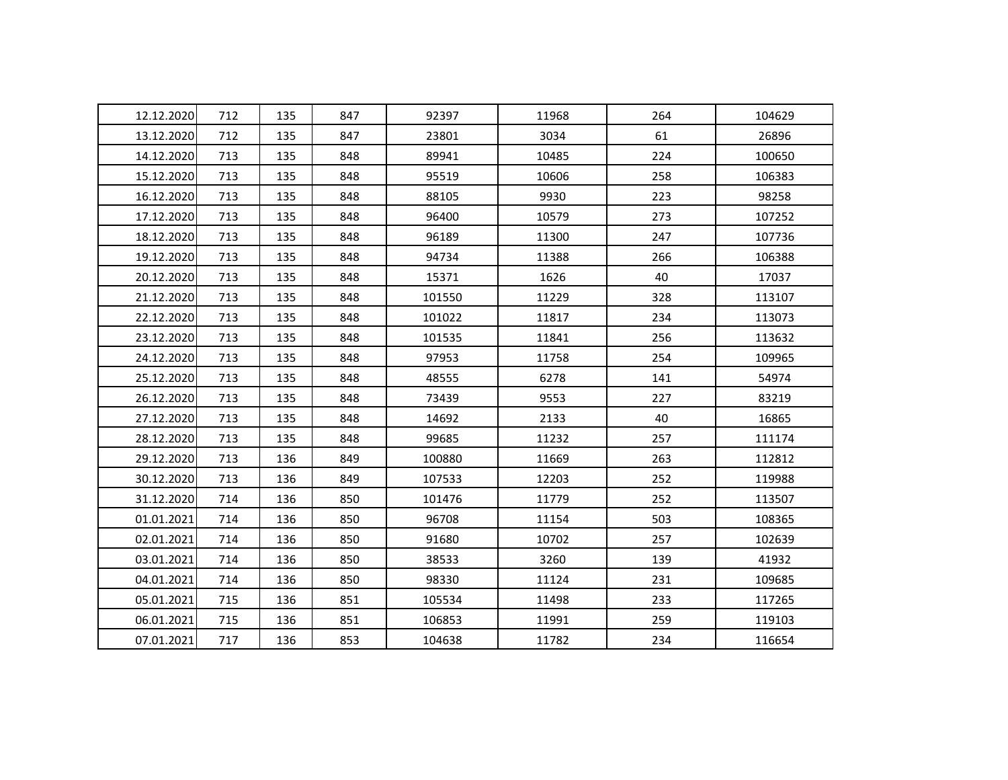| 12.12.2020 | 712 | 135 | 847 | 92397  | 11968 | 264 | 104629 |
|------------|-----|-----|-----|--------|-------|-----|--------|
| 13.12.2020 | 712 | 135 | 847 | 23801  | 3034  | 61  | 26896  |
| 14.12.2020 | 713 | 135 | 848 | 89941  | 10485 | 224 | 100650 |
| 15.12.2020 | 713 | 135 | 848 | 95519  | 10606 | 258 | 106383 |
| 16.12.2020 | 713 | 135 | 848 | 88105  | 9930  | 223 | 98258  |
| 17.12.2020 | 713 | 135 | 848 | 96400  | 10579 | 273 | 107252 |
| 18.12.2020 | 713 | 135 | 848 | 96189  | 11300 | 247 | 107736 |
| 19.12.2020 | 713 | 135 | 848 | 94734  | 11388 | 266 | 106388 |
| 20.12.2020 | 713 | 135 | 848 | 15371  | 1626  | 40  | 17037  |
| 21.12.2020 | 713 | 135 | 848 | 101550 | 11229 | 328 | 113107 |
| 22.12.2020 | 713 | 135 | 848 | 101022 | 11817 | 234 | 113073 |
| 23.12.2020 | 713 | 135 | 848 | 101535 | 11841 | 256 | 113632 |
| 24.12.2020 | 713 | 135 | 848 | 97953  | 11758 | 254 | 109965 |
| 25.12.2020 | 713 | 135 | 848 | 48555  | 6278  | 141 | 54974  |
| 26.12.2020 | 713 | 135 | 848 | 73439  | 9553  | 227 | 83219  |
| 27.12.2020 | 713 | 135 | 848 | 14692  | 2133  | 40  | 16865  |
| 28.12.2020 | 713 | 135 | 848 | 99685  | 11232 | 257 | 111174 |
| 29.12.2020 | 713 | 136 | 849 | 100880 | 11669 | 263 | 112812 |
| 30.12.2020 | 713 | 136 | 849 | 107533 | 12203 | 252 | 119988 |
| 31.12.2020 | 714 | 136 | 850 | 101476 | 11779 | 252 | 113507 |
| 01.01.2021 | 714 | 136 | 850 | 96708  | 11154 | 503 | 108365 |
| 02.01.2021 | 714 | 136 | 850 | 91680  | 10702 | 257 | 102639 |
| 03.01.2021 | 714 | 136 | 850 | 38533  | 3260  | 139 | 41932  |
| 04.01.2021 | 714 | 136 | 850 | 98330  | 11124 | 231 | 109685 |
| 05.01.2021 | 715 | 136 | 851 | 105534 | 11498 | 233 | 117265 |
| 06.01.2021 | 715 | 136 | 851 | 106853 | 11991 | 259 | 119103 |
| 07.01.2021 | 717 | 136 | 853 | 104638 | 11782 | 234 | 116654 |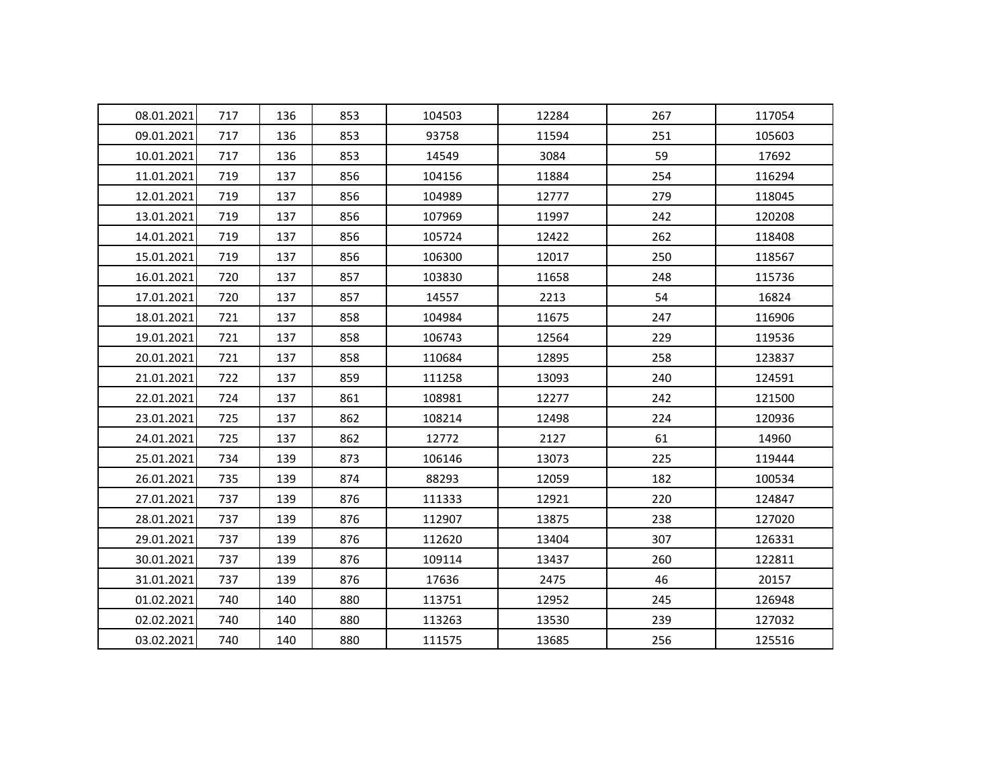| 08.01.2021 | 717 | 136 | 853 | 104503 | 12284 | 267 | 117054 |
|------------|-----|-----|-----|--------|-------|-----|--------|
| 09.01.2021 | 717 | 136 | 853 | 93758  | 11594 | 251 | 105603 |
| 10.01.2021 | 717 | 136 | 853 | 14549  | 3084  | 59  | 17692  |
| 11.01.2021 | 719 | 137 | 856 | 104156 | 11884 | 254 | 116294 |
| 12.01.2021 | 719 | 137 | 856 | 104989 | 12777 | 279 | 118045 |
| 13.01.2021 | 719 | 137 | 856 | 107969 | 11997 | 242 | 120208 |
| 14.01.2021 | 719 | 137 | 856 | 105724 | 12422 | 262 | 118408 |
| 15.01.2021 | 719 | 137 | 856 | 106300 | 12017 | 250 | 118567 |
| 16.01.2021 | 720 | 137 | 857 | 103830 | 11658 | 248 | 115736 |
| 17.01.2021 | 720 | 137 | 857 | 14557  | 2213  | 54  | 16824  |
| 18.01.2021 | 721 | 137 | 858 | 104984 | 11675 | 247 | 116906 |
| 19.01.2021 | 721 | 137 | 858 | 106743 | 12564 | 229 | 119536 |
| 20.01.2021 | 721 | 137 | 858 | 110684 | 12895 | 258 | 123837 |
| 21.01.2021 | 722 | 137 | 859 | 111258 | 13093 | 240 | 124591 |
| 22.01.2021 | 724 | 137 | 861 | 108981 | 12277 | 242 | 121500 |
| 23.01.2021 | 725 | 137 | 862 | 108214 | 12498 | 224 | 120936 |
| 24.01.2021 | 725 | 137 | 862 | 12772  | 2127  | 61  | 14960  |
| 25.01.2021 | 734 | 139 | 873 | 106146 | 13073 | 225 | 119444 |
| 26.01.2021 | 735 | 139 | 874 | 88293  | 12059 | 182 | 100534 |
| 27.01.2021 | 737 | 139 | 876 | 111333 | 12921 | 220 | 124847 |
| 28.01.2021 | 737 | 139 | 876 | 112907 | 13875 | 238 | 127020 |
| 29.01.2021 | 737 | 139 | 876 | 112620 | 13404 | 307 | 126331 |
| 30.01.2021 | 737 | 139 | 876 | 109114 | 13437 | 260 | 122811 |
| 31.01.2021 | 737 | 139 | 876 | 17636  | 2475  | 46  | 20157  |
| 01.02.2021 | 740 | 140 | 880 | 113751 | 12952 | 245 | 126948 |
| 02.02.2021 | 740 | 140 | 880 | 113263 | 13530 | 239 | 127032 |
| 03.02.2021 | 740 | 140 | 880 | 111575 | 13685 | 256 | 125516 |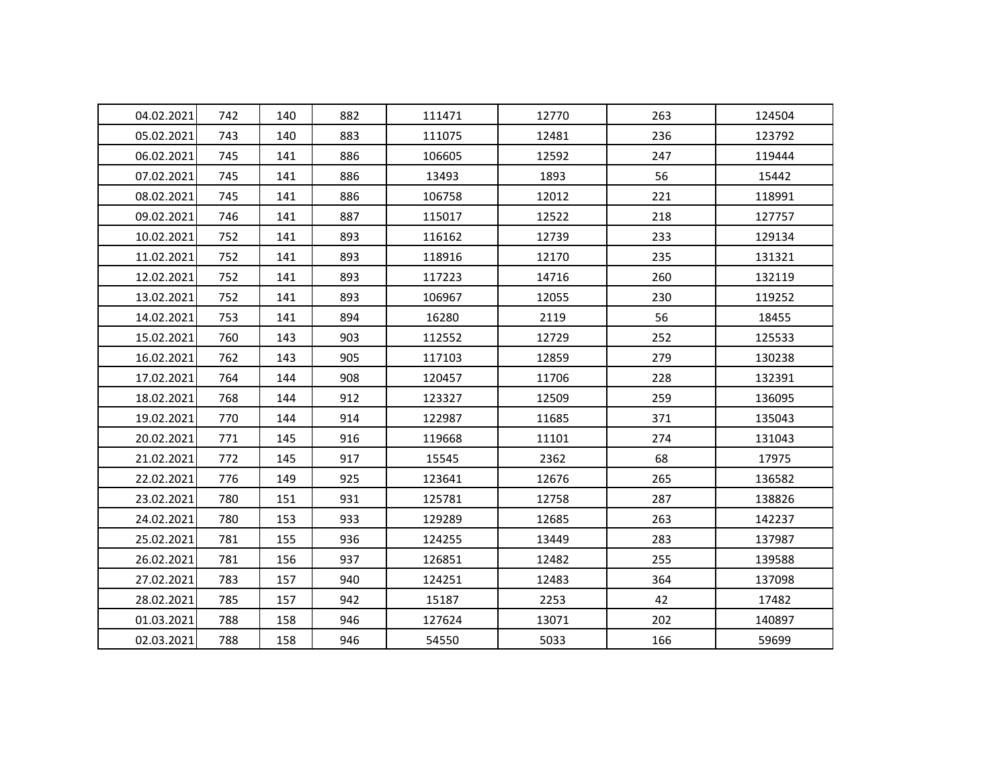| 04.02.2021 | 742 | 140 | 882 | 111471 | 12770 | 263 | 124504 |
|------------|-----|-----|-----|--------|-------|-----|--------|
| 05.02.2021 | 743 | 140 | 883 | 111075 | 12481 | 236 | 123792 |
| 06.02.2021 | 745 | 141 | 886 | 106605 | 12592 | 247 | 119444 |
| 07.02.2021 | 745 | 141 | 886 | 13493  | 1893  | 56  | 15442  |
| 08.02.2021 | 745 | 141 | 886 | 106758 | 12012 | 221 | 118991 |
| 09.02.2021 | 746 | 141 | 887 | 115017 | 12522 | 218 | 127757 |
| 10.02.2021 | 752 | 141 | 893 | 116162 | 12739 | 233 | 129134 |
| 11.02.2021 | 752 | 141 | 893 | 118916 | 12170 | 235 | 131321 |
| 12.02.2021 | 752 | 141 | 893 | 117223 | 14716 | 260 | 132119 |
| 13.02.2021 | 752 | 141 | 893 | 106967 | 12055 | 230 | 119252 |
| 14.02.2021 | 753 | 141 | 894 | 16280  | 2119  | 56  | 18455  |
| 15.02.2021 | 760 | 143 | 903 | 112552 | 12729 | 252 | 125533 |
| 16.02.2021 | 762 | 143 | 905 | 117103 | 12859 | 279 | 130238 |
| 17.02.2021 | 764 | 144 | 908 | 120457 | 11706 | 228 | 132391 |
| 18.02.2021 | 768 | 144 | 912 | 123327 | 12509 | 259 | 136095 |
| 19.02.2021 | 770 | 144 | 914 | 122987 | 11685 | 371 | 135043 |
| 20.02.2021 | 771 | 145 | 916 | 119668 | 11101 | 274 | 131043 |
| 21.02.2021 | 772 | 145 | 917 | 15545  | 2362  | 68  | 17975  |
| 22.02.2021 | 776 | 149 | 925 | 123641 | 12676 | 265 | 136582 |
| 23.02.2021 | 780 | 151 | 931 | 125781 | 12758 | 287 | 138826 |
| 24.02.2021 | 780 | 153 | 933 | 129289 | 12685 | 263 | 142237 |
| 25.02.2021 | 781 | 155 | 936 | 124255 | 13449 | 283 | 137987 |
| 26.02.2021 | 781 | 156 | 937 | 126851 | 12482 | 255 | 139588 |
| 27.02.2021 | 783 | 157 | 940 | 124251 | 12483 | 364 | 137098 |
| 28.02.2021 | 785 | 157 | 942 | 15187  | 2253  | 42  | 17482  |
| 01.03.2021 | 788 | 158 | 946 | 127624 | 13071 | 202 | 140897 |
| 02.03.2021 | 788 | 158 | 946 | 54550  | 5033  | 166 | 59699  |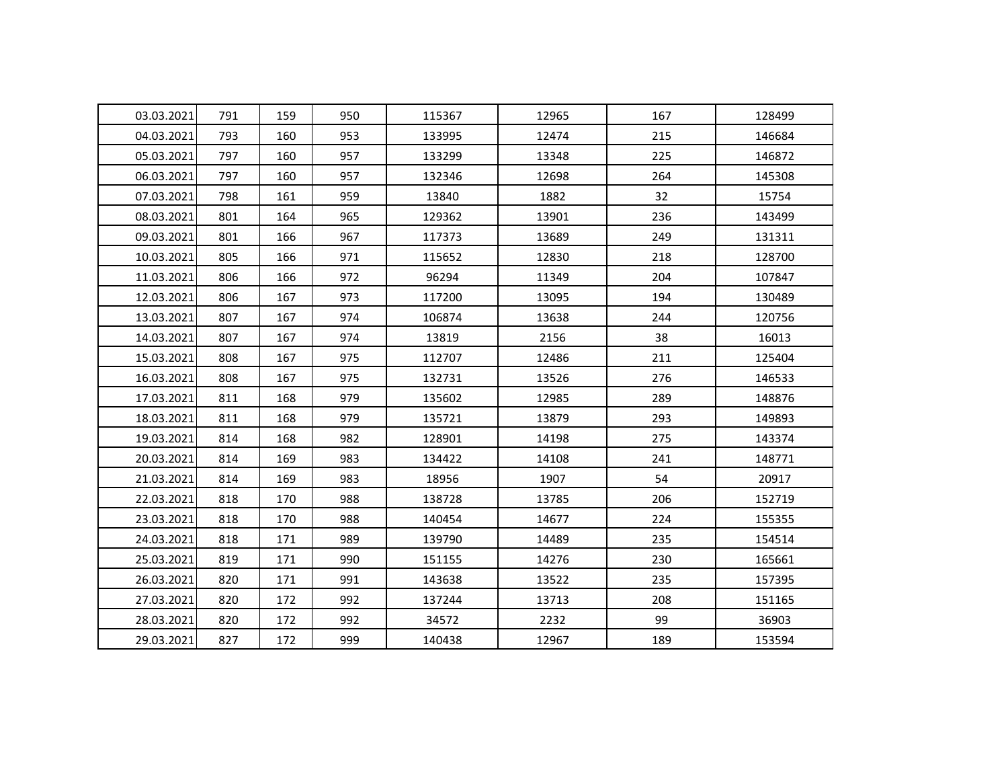| 03.03.2021 | 791 | 159 | 950 | 115367 | 12965 | 167 | 128499 |
|------------|-----|-----|-----|--------|-------|-----|--------|
| 04.03.2021 | 793 | 160 | 953 | 133995 | 12474 | 215 | 146684 |
| 05.03.2021 | 797 | 160 | 957 | 133299 | 13348 | 225 | 146872 |
| 06.03.2021 | 797 | 160 | 957 | 132346 | 12698 | 264 | 145308 |
| 07.03.2021 | 798 | 161 | 959 | 13840  | 1882  | 32  | 15754  |
| 08.03.2021 | 801 | 164 | 965 | 129362 | 13901 | 236 | 143499 |
| 09.03.2021 | 801 | 166 | 967 | 117373 | 13689 | 249 | 131311 |
| 10.03.2021 | 805 | 166 | 971 | 115652 | 12830 | 218 | 128700 |
| 11.03.2021 | 806 | 166 | 972 | 96294  | 11349 | 204 | 107847 |
| 12.03.2021 | 806 | 167 | 973 | 117200 | 13095 | 194 | 130489 |
| 13.03.2021 | 807 | 167 | 974 | 106874 | 13638 | 244 | 120756 |
| 14.03.2021 | 807 | 167 | 974 | 13819  | 2156  | 38  | 16013  |
| 15.03.2021 | 808 | 167 | 975 | 112707 | 12486 | 211 | 125404 |
| 16.03.2021 | 808 | 167 | 975 | 132731 | 13526 | 276 | 146533 |
| 17.03.2021 | 811 | 168 | 979 | 135602 | 12985 | 289 | 148876 |
| 18.03.2021 | 811 | 168 | 979 | 135721 | 13879 | 293 | 149893 |
| 19.03.2021 | 814 | 168 | 982 | 128901 | 14198 | 275 | 143374 |
| 20.03.2021 | 814 | 169 | 983 | 134422 | 14108 | 241 | 148771 |
| 21.03.2021 | 814 | 169 | 983 | 18956  | 1907  | 54  | 20917  |
| 22.03.2021 | 818 | 170 | 988 | 138728 | 13785 | 206 | 152719 |
| 23.03.2021 | 818 | 170 | 988 | 140454 | 14677 | 224 | 155355 |
| 24.03.2021 | 818 | 171 | 989 | 139790 | 14489 | 235 | 154514 |
| 25.03.2021 | 819 | 171 | 990 | 151155 | 14276 | 230 | 165661 |
| 26.03.2021 | 820 | 171 | 991 | 143638 | 13522 | 235 | 157395 |
| 27.03.2021 | 820 | 172 | 992 | 137244 | 13713 | 208 | 151165 |
| 28.03.2021 | 820 | 172 | 992 | 34572  | 2232  | 99  | 36903  |
| 29.03.2021 | 827 | 172 | 999 | 140438 | 12967 | 189 | 153594 |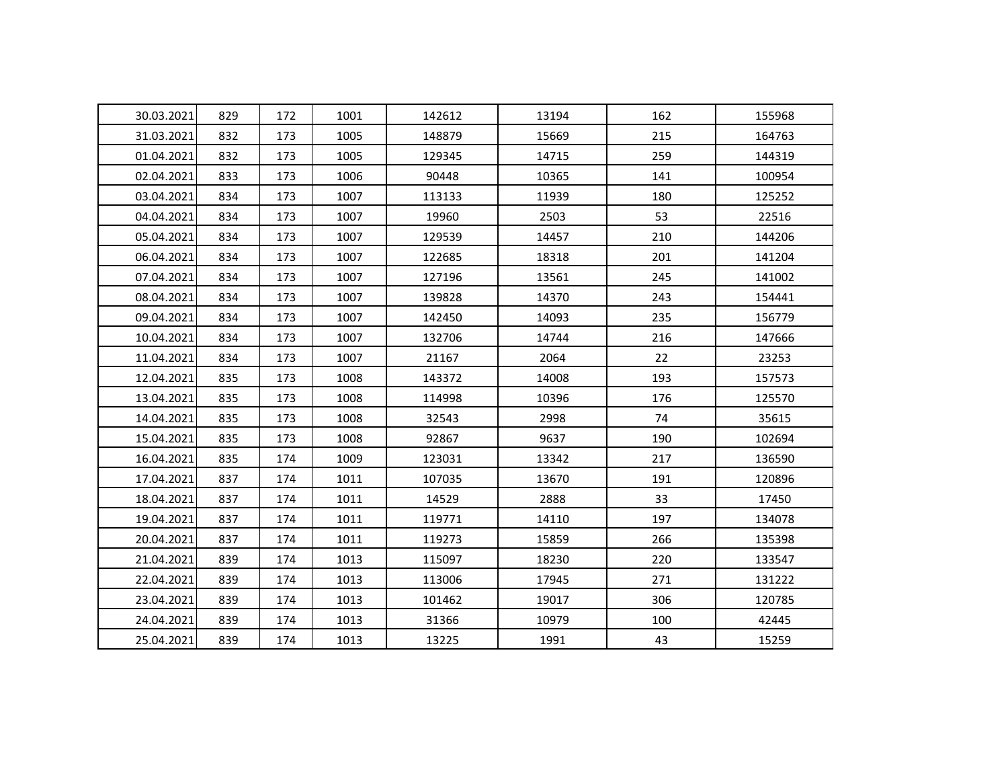| 30.03.2021 | 829 | 172 | 1001 | 142612 | 13194 | 162 | 155968 |
|------------|-----|-----|------|--------|-------|-----|--------|
| 31.03.2021 | 832 | 173 | 1005 | 148879 | 15669 | 215 | 164763 |
| 01.04.2021 | 832 | 173 | 1005 | 129345 | 14715 | 259 | 144319 |
| 02.04.2021 | 833 | 173 | 1006 | 90448  | 10365 | 141 | 100954 |
| 03.04.2021 | 834 | 173 | 1007 | 113133 | 11939 | 180 | 125252 |
| 04.04.2021 | 834 | 173 | 1007 | 19960  | 2503  | 53  | 22516  |
| 05.04.2021 | 834 | 173 | 1007 | 129539 | 14457 | 210 | 144206 |
| 06.04.2021 | 834 | 173 | 1007 | 122685 | 18318 | 201 | 141204 |
| 07.04.2021 | 834 | 173 | 1007 | 127196 | 13561 | 245 | 141002 |
| 08.04.2021 | 834 | 173 | 1007 | 139828 | 14370 | 243 | 154441 |
| 09.04.2021 | 834 | 173 | 1007 | 142450 | 14093 | 235 | 156779 |
| 10.04.2021 | 834 | 173 | 1007 | 132706 | 14744 | 216 | 147666 |
| 11.04.2021 | 834 | 173 | 1007 | 21167  | 2064  | 22  | 23253  |
| 12.04.2021 | 835 | 173 | 1008 | 143372 | 14008 | 193 | 157573 |
| 13.04.2021 | 835 | 173 | 1008 | 114998 | 10396 | 176 | 125570 |
| 14.04.2021 | 835 | 173 | 1008 | 32543  | 2998  | 74  | 35615  |
| 15.04.2021 | 835 | 173 | 1008 | 92867  | 9637  | 190 | 102694 |
| 16.04.2021 | 835 | 174 | 1009 | 123031 | 13342 | 217 | 136590 |
| 17.04.2021 | 837 | 174 | 1011 | 107035 | 13670 | 191 | 120896 |
| 18.04.2021 | 837 | 174 | 1011 | 14529  | 2888  | 33  | 17450  |
| 19.04.2021 | 837 | 174 | 1011 | 119771 | 14110 | 197 | 134078 |
| 20.04.2021 | 837 | 174 | 1011 | 119273 | 15859 | 266 | 135398 |
| 21.04.2021 | 839 | 174 | 1013 | 115097 | 18230 | 220 | 133547 |
| 22.04.2021 | 839 | 174 | 1013 | 113006 | 17945 | 271 | 131222 |
| 23.04.2021 | 839 | 174 | 1013 | 101462 | 19017 | 306 | 120785 |
| 24.04.2021 | 839 | 174 | 1013 | 31366  | 10979 | 100 | 42445  |
| 25.04.2021 | 839 | 174 | 1013 | 13225  | 1991  | 43  | 15259  |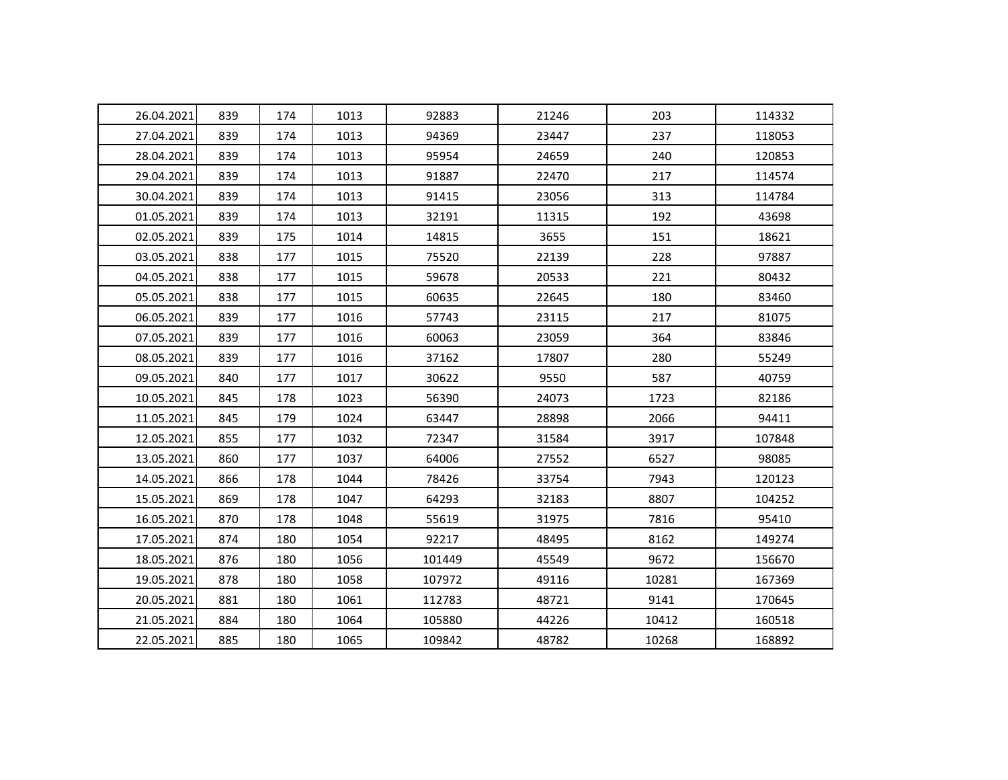| 26.04.2021 | 839 | 174 | 1013 | 92883  | 21246 | 203   | 114332 |
|------------|-----|-----|------|--------|-------|-------|--------|
| 27.04.2021 | 839 | 174 | 1013 | 94369  | 23447 | 237   | 118053 |
| 28.04.2021 | 839 | 174 | 1013 | 95954  | 24659 | 240   | 120853 |
| 29.04.2021 | 839 | 174 | 1013 | 91887  | 22470 | 217   | 114574 |
| 30.04.2021 | 839 | 174 | 1013 | 91415  | 23056 | 313   | 114784 |
| 01.05.2021 | 839 | 174 | 1013 | 32191  | 11315 | 192   | 43698  |
| 02.05.2021 | 839 | 175 | 1014 | 14815  | 3655  | 151   | 18621  |
| 03.05.2021 | 838 | 177 | 1015 | 75520  | 22139 | 228   | 97887  |
| 04.05.2021 | 838 | 177 | 1015 | 59678  | 20533 | 221   | 80432  |
| 05.05.2021 | 838 | 177 | 1015 | 60635  | 22645 | 180   | 83460  |
| 06.05.2021 | 839 | 177 | 1016 | 57743  | 23115 | 217   | 81075  |
| 07.05.2021 | 839 | 177 | 1016 | 60063  | 23059 | 364   | 83846  |
| 08.05.2021 | 839 | 177 | 1016 | 37162  | 17807 | 280   | 55249  |
| 09.05.2021 | 840 | 177 | 1017 | 30622  | 9550  | 587   | 40759  |
| 10.05.2021 | 845 | 178 | 1023 | 56390  | 24073 | 1723  | 82186  |
| 11.05.2021 | 845 | 179 | 1024 | 63447  | 28898 | 2066  | 94411  |
| 12.05.2021 | 855 | 177 | 1032 | 72347  | 31584 | 3917  | 107848 |
| 13.05.2021 | 860 | 177 | 1037 | 64006  | 27552 | 6527  | 98085  |
| 14.05.2021 | 866 | 178 | 1044 | 78426  | 33754 | 7943  | 120123 |
| 15.05.2021 | 869 | 178 | 1047 | 64293  | 32183 | 8807  | 104252 |
| 16.05.2021 | 870 | 178 | 1048 | 55619  | 31975 | 7816  | 95410  |
| 17.05.2021 | 874 | 180 | 1054 | 92217  | 48495 | 8162  | 149274 |
| 18.05.2021 | 876 | 180 | 1056 | 101449 | 45549 | 9672  | 156670 |
| 19.05.2021 | 878 | 180 | 1058 | 107972 | 49116 | 10281 | 167369 |
| 20.05.2021 | 881 | 180 | 1061 | 112783 | 48721 | 9141  | 170645 |
| 21.05.2021 | 884 | 180 | 1064 | 105880 | 44226 | 10412 | 160518 |
| 22.05.2021 | 885 | 180 | 1065 | 109842 | 48782 | 10268 | 168892 |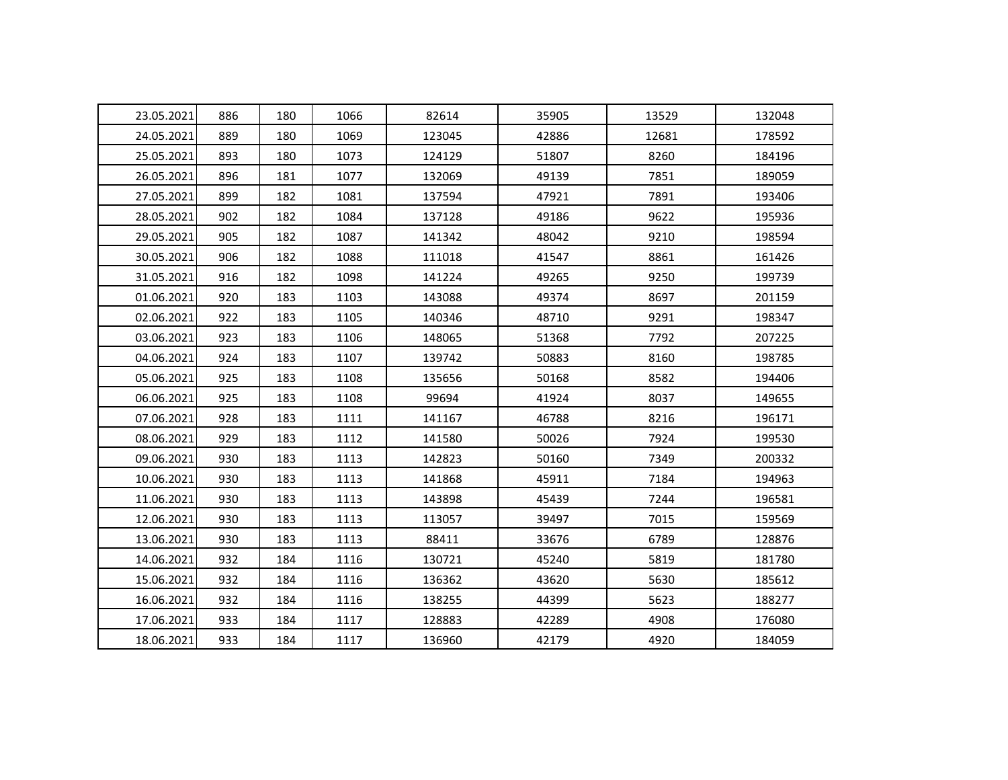| 23.05.2021 | 886 | 180 | 1066 | 82614  | 35905 | 13529 | 132048 |
|------------|-----|-----|------|--------|-------|-------|--------|
| 24.05.2021 | 889 | 180 | 1069 | 123045 | 42886 | 12681 | 178592 |
| 25.05.2021 | 893 | 180 | 1073 | 124129 | 51807 | 8260  | 184196 |
| 26.05.2021 | 896 | 181 | 1077 | 132069 | 49139 | 7851  | 189059 |
| 27.05.2021 | 899 | 182 | 1081 | 137594 | 47921 | 7891  | 193406 |
| 28.05.2021 | 902 | 182 | 1084 | 137128 | 49186 | 9622  | 195936 |
| 29.05.2021 | 905 | 182 | 1087 | 141342 | 48042 | 9210  | 198594 |
| 30.05.2021 | 906 | 182 | 1088 | 111018 | 41547 | 8861  | 161426 |
| 31.05.2021 | 916 | 182 | 1098 | 141224 | 49265 | 9250  | 199739 |
| 01.06.2021 | 920 | 183 | 1103 | 143088 | 49374 | 8697  | 201159 |
| 02.06.2021 | 922 | 183 | 1105 | 140346 | 48710 | 9291  | 198347 |
| 03.06.2021 | 923 | 183 | 1106 | 148065 | 51368 | 7792  | 207225 |
| 04.06.2021 | 924 | 183 | 1107 | 139742 | 50883 | 8160  | 198785 |
| 05.06.2021 | 925 | 183 | 1108 | 135656 | 50168 | 8582  | 194406 |
| 06.06.2021 | 925 | 183 | 1108 | 99694  | 41924 | 8037  | 149655 |
| 07.06.2021 | 928 | 183 | 1111 | 141167 | 46788 | 8216  | 196171 |
| 08.06.2021 | 929 | 183 | 1112 | 141580 | 50026 | 7924  | 199530 |
| 09.06.2021 | 930 | 183 | 1113 | 142823 | 50160 | 7349  | 200332 |
| 10.06.2021 | 930 | 183 | 1113 | 141868 | 45911 | 7184  | 194963 |
| 11.06.2021 | 930 | 183 | 1113 | 143898 | 45439 | 7244  | 196581 |
| 12.06.2021 | 930 | 183 | 1113 | 113057 | 39497 | 7015  | 159569 |
| 13.06.2021 | 930 | 183 | 1113 | 88411  | 33676 | 6789  | 128876 |
| 14.06.2021 | 932 | 184 | 1116 | 130721 | 45240 | 5819  | 181780 |
| 15.06.2021 | 932 | 184 | 1116 | 136362 | 43620 | 5630  | 185612 |
| 16.06.2021 | 932 | 184 | 1116 | 138255 | 44399 | 5623  | 188277 |
| 17.06.2021 | 933 | 184 | 1117 | 128883 | 42289 | 4908  | 176080 |
| 18.06.2021 | 933 | 184 | 1117 | 136960 | 42179 | 4920  | 184059 |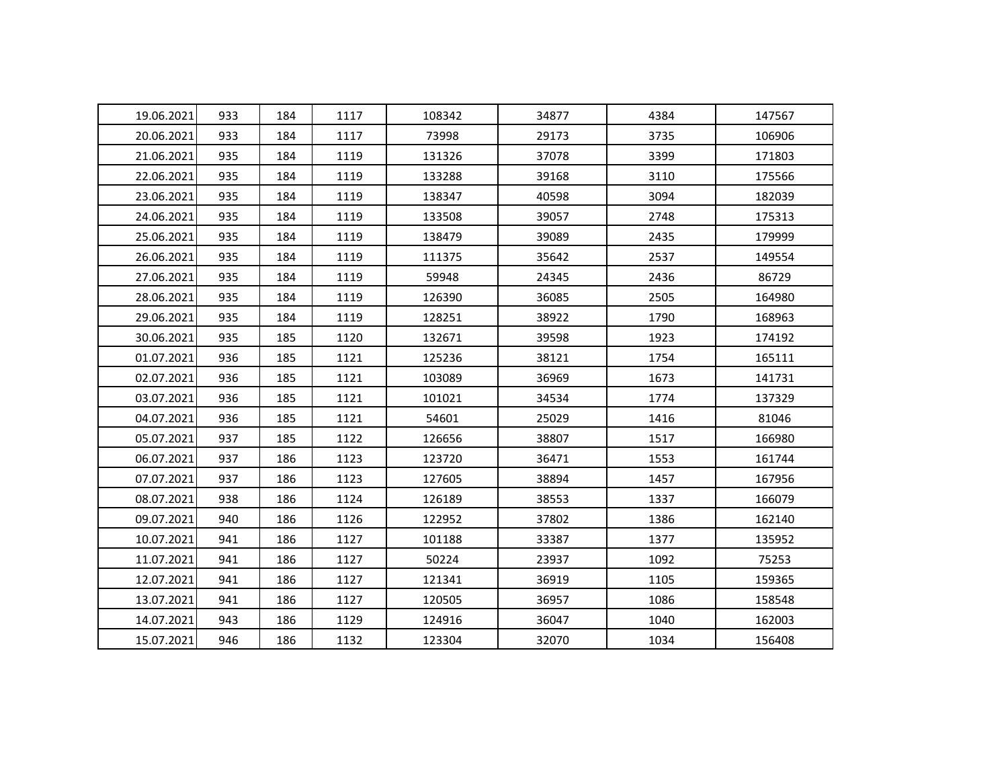| 19.06.2021 | 933 | 184 | 1117 | 108342 | 34877 | 4384 | 147567 |
|------------|-----|-----|------|--------|-------|------|--------|
| 20.06.2021 | 933 | 184 | 1117 | 73998  | 29173 | 3735 | 106906 |
| 21.06.2021 | 935 | 184 | 1119 | 131326 | 37078 | 3399 | 171803 |
| 22.06.2021 | 935 | 184 | 1119 | 133288 | 39168 | 3110 | 175566 |
| 23.06.2021 | 935 | 184 | 1119 | 138347 | 40598 | 3094 | 182039 |
| 24.06.2021 | 935 | 184 | 1119 | 133508 | 39057 | 2748 | 175313 |
| 25.06.2021 | 935 | 184 | 1119 | 138479 | 39089 | 2435 | 179999 |
| 26.06.2021 | 935 | 184 | 1119 | 111375 | 35642 | 2537 | 149554 |
| 27.06.2021 | 935 | 184 | 1119 | 59948  | 24345 | 2436 | 86729  |
| 28.06.2021 | 935 | 184 | 1119 | 126390 | 36085 | 2505 | 164980 |
| 29.06.2021 | 935 | 184 | 1119 | 128251 | 38922 | 1790 | 168963 |
| 30.06.2021 | 935 | 185 | 1120 | 132671 | 39598 | 1923 | 174192 |
| 01.07.2021 | 936 | 185 | 1121 | 125236 | 38121 | 1754 | 165111 |
| 02.07.2021 | 936 | 185 | 1121 | 103089 | 36969 | 1673 | 141731 |
| 03.07.2021 | 936 | 185 | 1121 | 101021 | 34534 | 1774 | 137329 |
| 04.07.2021 | 936 | 185 | 1121 | 54601  | 25029 | 1416 | 81046  |
| 05.07.2021 | 937 | 185 | 1122 | 126656 | 38807 | 1517 | 166980 |
| 06.07.2021 | 937 | 186 | 1123 | 123720 | 36471 | 1553 | 161744 |
| 07.07.2021 | 937 | 186 | 1123 | 127605 | 38894 | 1457 | 167956 |
| 08.07.2021 | 938 | 186 | 1124 | 126189 | 38553 | 1337 | 166079 |
| 09.07.2021 | 940 | 186 | 1126 | 122952 | 37802 | 1386 | 162140 |
| 10.07.2021 | 941 | 186 | 1127 | 101188 | 33387 | 1377 | 135952 |
| 11.07.2021 | 941 | 186 | 1127 | 50224  | 23937 | 1092 | 75253  |
| 12.07.2021 | 941 | 186 | 1127 | 121341 | 36919 | 1105 | 159365 |
| 13.07.2021 | 941 | 186 | 1127 | 120505 | 36957 | 1086 | 158548 |
| 14.07.2021 | 943 | 186 | 1129 | 124916 | 36047 | 1040 | 162003 |
| 15.07.2021 | 946 | 186 | 1132 | 123304 | 32070 | 1034 | 156408 |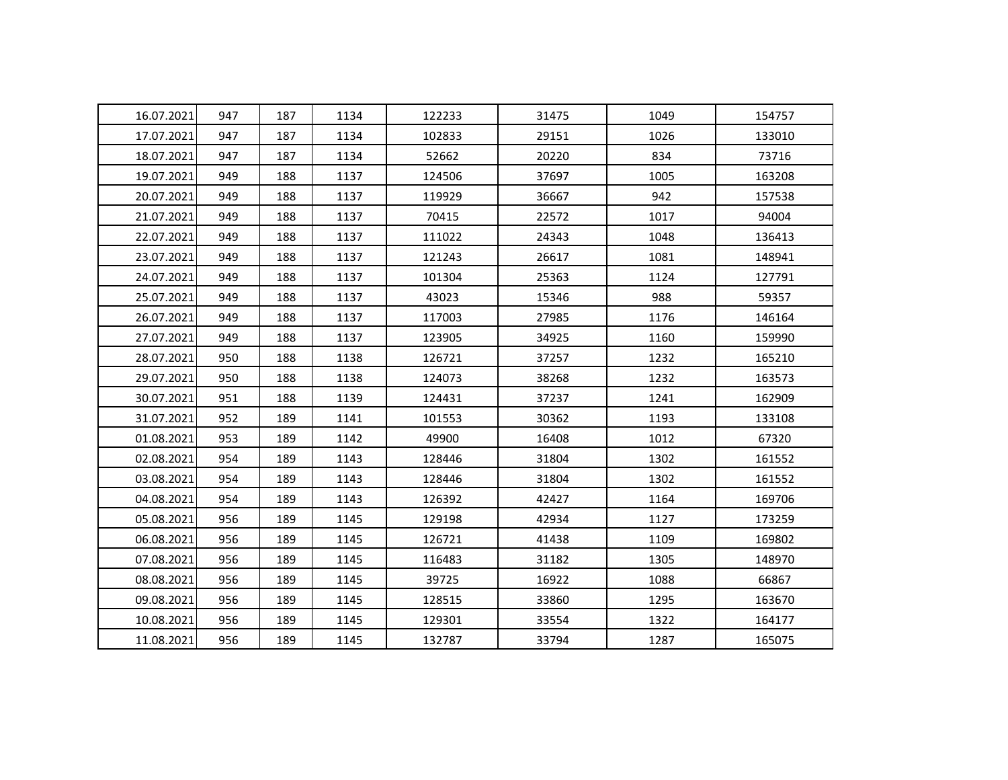| 16.07.2021 | 947 | 187 | 1134 | 122233 | 31475 | 1049 | 154757 |
|------------|-----|-----|------|--------|-------|------|--------|
| 17.07.2021 | 947 | 187 | 1134 | 102833 | 29151 | 1026 | 133010 |
| 18.07.2021 | 947 | 187 | 1134 | 52662  | 20220 | 834  | 73716  |
| 19.07.2021 | 949 | 188 | 1137 | 124506 | 37697 | 1005 | 163208 |
| 20.07.2021 | 949 | 188 | 1137 | 119929 | 36667 | 942  | 157538 |
| 21.07.2021 | 949 | 188 | 1137 | 70415  | 22572 | 1017 | 94004  |
| 22.07.2021 | 949 | 188 | 1137 | 111022 | 24343 | 1048 | 136413 |
| 23.07.2021 | 949 | 188 | 1137 | 121243 | 26617 | 1081 | 148941 |
| 24.07.2021 | 949 | 188 | 1137 | 101304 | 25363 | 1124 | 127791 |
| 25.07.2021 | 949 | 188 | 1137 | 43023  | 15346 | 988  | 59357  |
| 26.07.2021 | 949 | 188 | 1137 | 117003 | 27985 | 1176 | 146164 |
| 27.07.2021 | 949 | 188 | 1137 | 123905 | 34925 | 1160 | 159990 |
| 28.07.2021 | 950 | 188 | 1138 | 126721 | 37257 | 1232 | 165210 |
| 29.07.2021 | 950 | 188 | 1138 | 124073 | 38268 | 1232 | 163573 |
| 30.07.2021 | 951 | 188 | 1139 | 124431 | 37237 | 1241 | 162909 |
| 31.07.2021 | 952 | 189 | 1141 | 101553 | 30362 | 1193 | 133108 |
| 01.08.2021 | 953 | 189 | 1142 | 49900  | 16408 | 1012 | 67320  |
| 02.08.2021 | 954 | 189 | 1143 | 128446 | 31804 | 1302 | 161552 |
| 03.08.2021 | 954 | 189 | 1143 | 128446 | 31804 | 1302 | 161552 |
| 04.08.2021 | 954 | 189 | 1143 | 126392 | 42427 | 1164 | 169706 |
| 05.08.2021 | 956 | 189 | 1145 | 129198 | 42934 | 1127 | 173259 |
| 06.08.2021 | 956 | 189 | 1145 | 126721 | 41438 | 1109 | 169802 |
| 07.08.2021 | 956 | 189 | 1145 | 116483 | 31182 | 1305 | 148970 |
| 08.08.2021 | 956 | 189 | 1145 | 39725  | 16922 | 1088 | 66867  |
| 09.08.2021 | 956 | 189 | 1145 | 128515 | 33860 | 1295 | 163670 |
| 10.08.2021 | 956 | 189 | 1145 | 129301 | 33554 | 1322 | 164177 |
| 11.08.2021 | 956 | 189 | 1145 | 132787 | 33794 | 1287 | 165075 |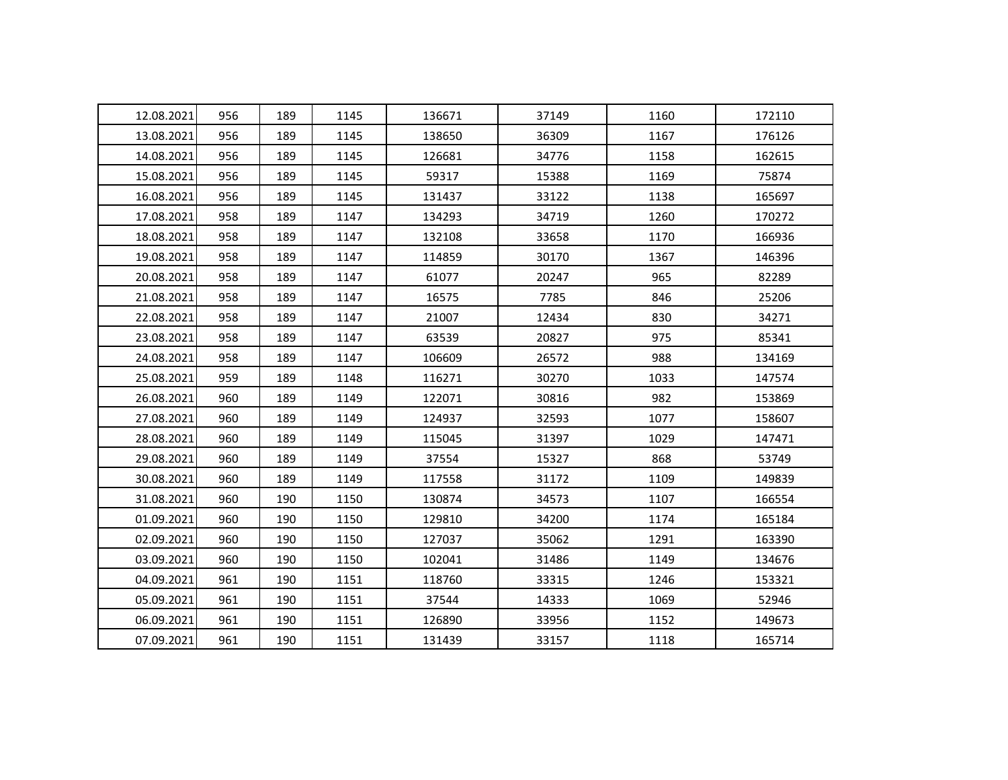| 12.08.2021 | 956 | 189 | 1145 | 136671 | 37149 | 1160 | 172110 |
|------------|-----|-----|------|--------|-------|------|--------|
| 13.08.2021 | 956 | 189 | 1145 | 138650 | 36309 | 1167 | 176126 |
| 14.08.2021 | 956 | 189 | 1145 | 126681 | 34776 | 1158 | 162615 |
| 15.08.2021 | 956 | 189 | 1145 | 59317  | 15388 | 1169 | 75874  |
| 16.08.2021 | 956 | 189 | 1145 | 131437 | 33122 | 1138 | 165697 |
| 17.08.2021 | 958 | 189 | 1147 | 134293 | 34719 | 1260 | 170272 |
| 18.08.2021 | 958 | 189 | 1147 | 132108 | 33658 | 1170 | 166936 |
| 19.08.2021 | 958 | 189 | 1147 | 114859 | 30170 | 1367 | 146396 |
| 20.08.2021 | 958 | 189 | 1147 | 61077  | 20247 | 965  | 82289  |
| 21.08.2021 | 958 | 189 | 1147 | 16575  | 7785  | 846  | 25206  |
| 22.08.2021 | 958 | 189 | 1147 | 21007  | 12434 | 830  | 34271  |
| 23.08.2021 | 958 | 189 | 1147 | 63539  | 20827 | 975  | 85341  |
| 24.08.2021 | 958 | 189 | 1147 | 106609 | 26572 | 988  | 134169 |
| 25.08.2021 | 959 | 189 | 1148 | 116271 | 30270 | 1033 | 147574 |
| 26.08.2021 | 960 | 189 | 1149 | 122071 | 30816 | 982  | 153869 |
| 27.08.2021 | 960 | 189 | 1149 | 124937 | 32593 | 1077 | 158607 |
| 28.08.2021 | 960 | 189 | 1149 | 115045 | 31397 | 1029 | 147471 |
| 29.08.2021 | 960 | 189 | 1149 | 37554  | 15327 | 868  | 53749  |
| 30.08.2021 | 960 | 189 | 1149 | 117558 | 31172 | 1109 | 149839 |
| 31.08.2021 | 960 | 190 | 1150 | 130874 | 34573 | 1107 | 166554 |
| 01.09.2021 | 960 | 190 | 1150 | 129810 | 34200 | 1174 | 165184 |
| 02.09.2021 | 960 | 190 | 1150 | 127037 | 35062 | 1291 | 163390 |
| 03.09.2021 | 960 | 190 | 1150 | 102041 | 31486 | 1149 | 134676 |
| 04.09.2021 | 961 | 190 | 1151 | 118760 | 33315 | 1246 | 153321 |
| 05.09.2021 | 961 | 190 | 1151 | 37544  | 14333 | 1069 | 52946  |
| 06.09.2021 | 961 | 190 | 1151 | 126890 | 33956 | 1152 | 149673 |
| 07.09.2021 | 961 | 190 | 1151 | 131439 | 33157 | 1118 | 165714 |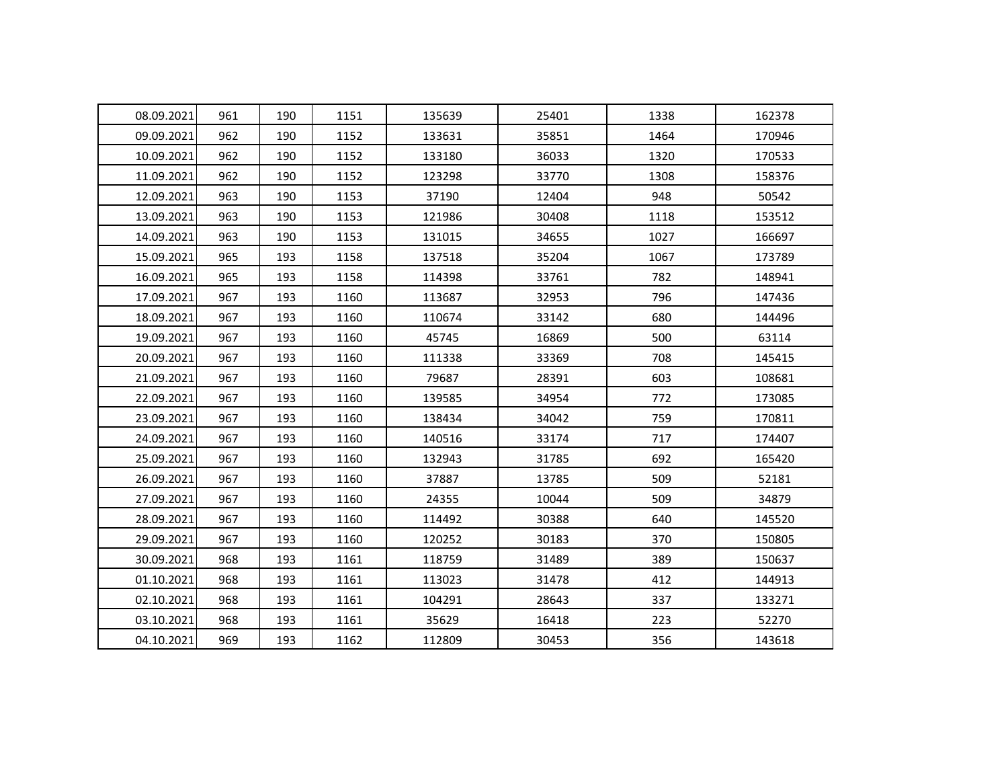| 08.09.2021 | 961 | 190 | 1151 | 135639 | 25401 | 1338 | 162378 |
|------------|-----|-----|------|--------|-------|------|--------|
| 09.09.2021 | 962 | 190 | 1152 | 133631 | 35851 | 1464 | 170946 |
| 10.09.2021 | 962 | 190 | 1152 | 133180 | 36033 | 1320 | 170533 |
| 11.09.2021 | 962 | 190 | 1152 | 123298 | 33770 | 1308 | 158376 |
| 12.09.2021 | 963 | 190 | 1153 | 37190  | 12404 | 948  | 50542  |
| 13.09.2021 | 963 | 190 | 1153 | 121986 | 30408 | 1118 | 153512 |
| 14.09.2021 | 963 | 190 | 1153 | 131015 | 34655 | 1027 | 166697 |
| 15.09.2021 | 965 | 193 | 1158 | 137518 | 35204 | 1067 | 173789 |
| 16.09.2021 | 965 | 193 | 1158 | 114398 | 33761 | 782  | 148941 |
| 17.09.2021 | 967 | 193 | 1160 | 113687 | 32953 | 796  | 147436 |
| 18.09.2021 | 967 | 193 | 1160 | 110674 | 33142 | 680  | 144496 |
| 19.09.2021 | 967 | 193 | 1160 | 45745  | 16869 | 500  | 63114  |
| 20.09.2021 | 967 | 193 | 1160 | 111338 | 33369 | 708  | 145415 |
| 21.09.2021 | 967 | 193 | 1160 | 79687  | 28391 | 603  | 108681 |
| 22.09.2021 | 967 | 193 | 1160 | 139585 | 34954 | 772  | 173085 |
| 23.09.2021 | 967 | 193 | 1160 | 138434 | 34042 | 759  | 170811 |
| 24.09.2021 | 967 | 193 | 1160 | 140516 | 33174 | 717  | 174407 |
| 25.09.2021 | 967 | 193 | 1160 | 132943 | 31785 | 692  | 165420 |
| 26.09.2021 | 967 | 193 | 1160 | 37887  | 13785 | 509  | 52181  |
| 27.09.2021 | 967 | 193 | 1160 | 24355  | 10044 | 509  | 34879  |
| 28.09.2021 | 967 | 193 | 1160 | 114492 | 30388 | 640  | 145520 |
| 29.09.2021 | 967 | 193 | 1160 | 120252 | 30183 | 370  | 150805 |
| 30.09.2021 | 968 | 193 | 1161 | 118759 | 31489 | 389  | 150637 |
| 01.10.2021 | 968 | 193 | 1161 | 113023 | 31478 | 412  | 144913 |
| 02.10.2021 | 968 | 193 | 1161 | 104291 | 28643 | 337  | 133271 |
| 03.10.2021 | 968 | 193 | 1161 | 35629  | 16418 | 223  | 52270  |
| 04.10.2021 | 969 | 193 | 1162 | 112809 | 30453 | 356  | 143618 |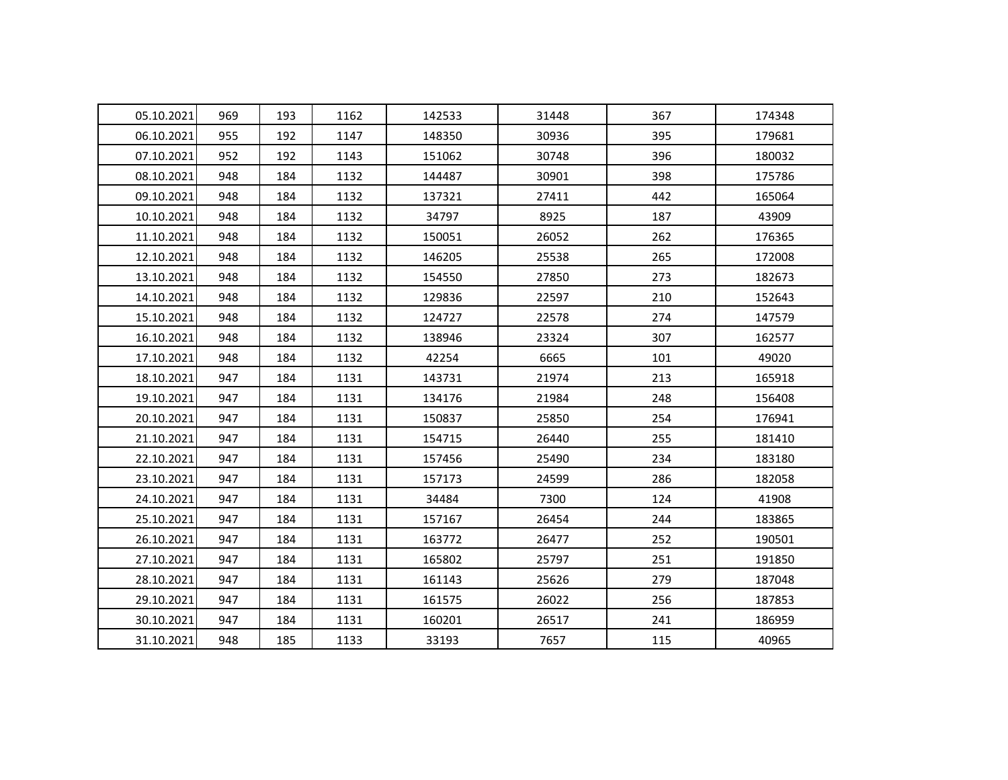| 05.10.2021 | 969 | 193 | 1162 | 142533 | 31448 | 367 | 174348 |
|------------|-----|-----|------|--------|-------|-----|--------|
| 06.10.2021 | 955 | 192 | 1147 | 148350 | 30936 | 395 | 179681 |
| 07.10.2021 | 952 | 192 | 1143 | 151062 | 30748 | 396 | 180032 |
| 08.10.2021 | 948 | 184 | 1132 | 144487 | 30901 | 398 | 175786 |
| 09.10.2021 | 948 | 184 | 1132 | 137321 | 27411 | 442 | 165064 |
| 10.10.2021 | 948 | 184 | 1132 | 34797  | 8925  | 187 | 43909  |
| 11.10.2021 | 948 | 184 | 1132 | 150051 | 26052 | 262 | 176365 |
| 12.10.2021 | 948 | 184 | 1132 | 146205 | 25538 | 265 | 172008 |
| 13.10.2021 | 948 | 184 | 1132 | 154550 | 27850 | 273 | 182673 |
| 14.10.2021 | 948 | 184 | 1132 | 129836 | 22597 | 210 | 152643 |
| 15.10.2021 | 948 | 184 | 1132 | 124727 | 22578 | 274 | 147579 |
| 16.10.2021 | 948 | 184 | 1132 | 138946 | 23324 | 307 | 162577 |
| 17.10.2021 | 948 | 184 | 1132 | 42254  | 6665  | 101 | 49020  |
| 18.10.2021 | 947 | 184 | 1131 | 143731 | 21974 | 213 | 165918 |
| 19.10.2021 | 947 | 184 | 1131 | 134176 | 21984 | 248 | 156408 |
| 20.10.2021 | 947 | 184 | 1131 | 150837 | 25850 | 254 | 176941 |
| 21.10.2021 | 947 | 184 | 1131 | 154715 | 26440 | 255 | 181410 |
| 22.10.2021 | 947 | 184 | 1131 | 157456 | 25490 | 234 | 183180 |
| 23.10.2021 | 947 | 184 | 1131 | 157173 | 24599 | 286 | 182058 |
| 24.10.2021 | 947 | 184 | 1131 | 34484  | 7300  | 124 | 41908  |
| 25.10.2021 | 947 | 184 | 1131 | 157167 | 26454 | 244 | 183865 |
| 26.10.2021 | 947 | 184 | 1131 | 163772 | 26477 | 252 | 190501 |
| 27.10.2021 | 947 | 184 | 1131 | 165802 | 25797 | 251 | 191850 |
| 28.10.2021 | 947 | 184 | 1131 | 161143 | 25626 | 279 | 187048 |
| 29.10.2021 | 947 | 184 | 1131 | 161575 | 26022 | 256 | 187853 |
| 30.10.2021 | 947 | 184 | 1131 | 160201 | 26517 | 241 | 186959 |
| 31.10.2021 | 948 | 185 | 1133 | 33193  | 7657  | 115 | 40965  |